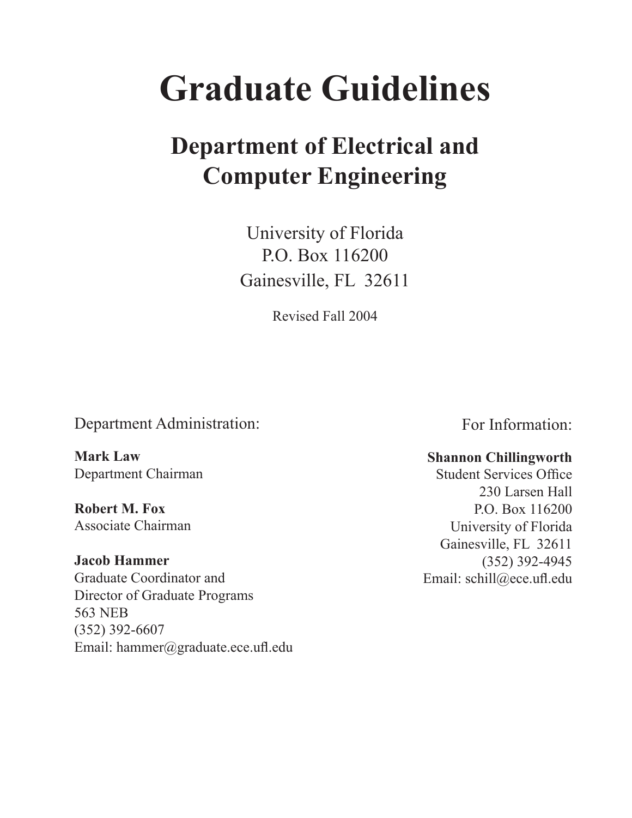# **Graduate Guidelines**

## **Department of Electrical and Computer Engineering**

University of Florida P.O. Box 116200 Gainesville, FL 32611

Revised Fall 2004

Department Administration:

**Mark Law** Department Chairman

**Robert M. Fox** Associate Chairman

**Jacob Hammer** Graduate Coordinator and Director of Graduate Programs 563 NEB (352) 392-6607 Email: hammer@graduate.ece.ufl.edu For Information:

## **Shannon Chillingworth**

Student Services Office 230 Larsen Hall P.O. Box 116200 University of Florida Gainesville, FL 32611 (352) 392-4945 Email: schill@ece.ufl.edu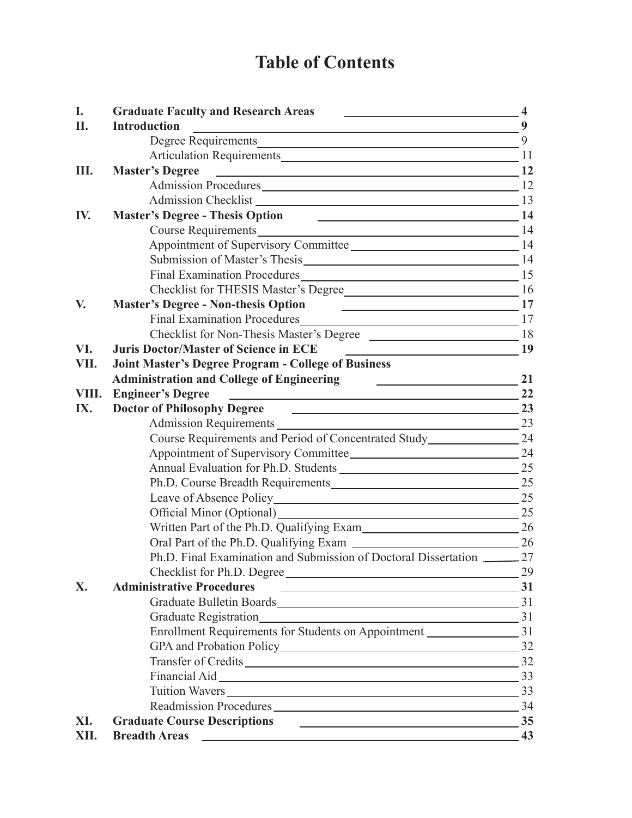## **Table of Contents**

| I.    | <b>Graduate Faculty and Research Areas</b>                                                                                                   | $-4$ |
|-------|----------------------------------------------------------------------------------------------------------------------------------------------|------|
| II.   | <b>Introduction</b>                                                                                                                          | 9    |
|       |                                                                                                                                              | 9    |
|       |                                                                                                                                              |      |
| Ш.    | $\sim$ 12<br><b>Master's Degree</b>                                                                                                          |      |
|       | Admission Procedures 12                                                                                                                      |      |
|       | Admission Checklist 13                                                                                                                       |      |
| IV.   | <b>Master's Degree - Thesis Option</b><br>$\overline{\phantom{a}14}$                                                                         |      |
|       | Course Requirements 14                                                                                                                       |      |
|       | Appointment of Supervisory Committee                                                                                                         |      |
|       | Submission of Master's Thesis 14                                                                                                             |      |
|       | Final Examination Procedures 15                                                                                                              |      |
|       | Checklist for THESIS Master's Degree                                                                                                         |      |
| V.    | $\sim$ 17<br><b>Master's Degree - Non-thesis Option</b>                                                                                      |      |
|       | <b>Final Examination Procedures</b><br>$\frac{17}{2}$                                                                                        |      |
|       | Checklist for Non-Thesis Master's Degree                                                                                                     |      |
| VI.   | <b>Juris Doctor/Master of Science in ECE</b><br><u> 1980 - Andrea Station, amerikansk politik (</u>                                          | 19   |
| VII.  | <b>Joint Master's Degree Program - College of Business</b>                                                                                   |      |
|       | <b>Administration and College of Engineering</b><br><u> 1990 - Jan Barbara Barat, politik politik (</u>                                      | 21   |
| VIII. | <b>Engineer's Degree</b>                                                                                                                     | 22   |
| IX.   | <b>Doctor of Philosophy Degree</b><br>$\sim$ 23                                                                                              |      |
|       | Admission Requirements 23                                                                                                                    |      |
|       | Course Requirements and Period of Concentrated Study____________________________                                                             | 24   |
|       |                                                                                                                                              |      |
|       |                                                                                                                                              | 25   |
|       | Ph.D. Course Breadth Requirements 25                                                                                                         |      |
|       |                                                                                                                                              |      |
|       | $\frac{1}{2}$ 25<br>Official Minor (Optional)                                                                                                |      |
|       | Written Part of the Ph.D. Qualifying Exam                                                                                                    |      |
|       |                                                                                                                                              |      |
|       | Ph.D. Final Examination and Submission of Doctoral Dissertation 27                                                                           |      |
|       | Checklist for Ph.D. Degree                                                                                                                   | 29   |
| X.    | <b>Administrative Procedures</b><br>the contract of the contract of the contract of the contract of the contract of                          | 31   |
|       | Graduate Bulletin Boards 31                                                                                                                  |      |
|       |                                                                                                                                              |      |
|       | Enrollment Requirements for Students on Appointment 2008 11                                                                                  |      |
|       |                                                                                                                                              |      |
|       | Transfer of Credits 32                                                                                                                       |      |
|       | Financial Aid 33                                                                                                                             |      |
|       | Tuition Wavers                                                                                                                               | 33   |
|       | Readmission Procedures 234                                                                                                                   |      |
| XI.   | <b>Graduate Course Descriptions</b><br>$\overline{\phantom{a}35}$                                                                            |      |
| XII.  | <b>Breadth Areas</b><br><u> Andreas Andreas Andreas Andreas Andreas Andreas Andreas Andreas Andreas Andreas Andreas Andreas Andreas Andr</u> | 43   |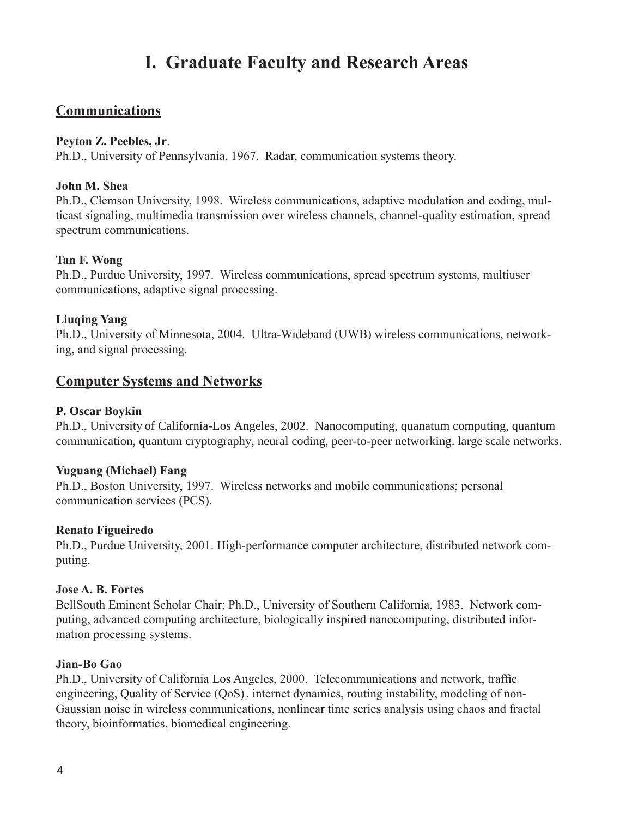## **I. Graduate Faculty and Research Areas**

## **Communications**

### **Peyton Z. Peebles, Jr**.

Ph.D., University of Pennsylvania, 1967. Radar, communication systems theory.

## **John M. Shea**

Ph.D., Clemson University, 1998. Wireless communications, adaptive modulation and coding, multicast signaling, multimedia transmission over wireless channels, channel-quality estimation, spread spectrum communications.

## **Tan F. Wong**

Ph.D., Purdue University, 1997. Wireless communications, spread spectrum systems, multiuser communications, adaptive signal processing.

## **Liuqing Yang**

Ph.D., University of Minnesota, 2004. Ultra-Wideband (UWB) wireless communications, networking, and signal processing.

## **Computer Systems and Networks**

## **P. Oscar Boykin**

Ph.D., University of California-Los Angeles, 2002. Nanocomputing, quanatum computing, quantum communication, quantum cryptography, neural coding, peer-to-peer networking. large scale networks.

### **Yuguang (Michael) Fang**

Ph.D., Boston University, 1997. Wireless networks and mobile communications; personal communication services (PCS).

### **Renato Figueiredo**

Ph.D., Purdue University, 2001. High-performance computer architecture, distributed network computing.

### **Jose A. B. Fortes**

BellSouth Eminent Scholar Chair; Ph.D., University of Southern California, 1983. Network computing, advanced computing architecture, biologically inspired nanocomputing, distributed information processing systems.

## **Jian-Bo Gao**

Ph.D., University of California Los Angeles, 2000. Telecommunications and network, traffic engineering, Quality of Service (QoS) , internet dynamics, routing instability, modeling of non-Gaussian noise in wireless communications, nonlinear time series analysis using chaos and fractal theory, bioinformatics, biomedical engineering.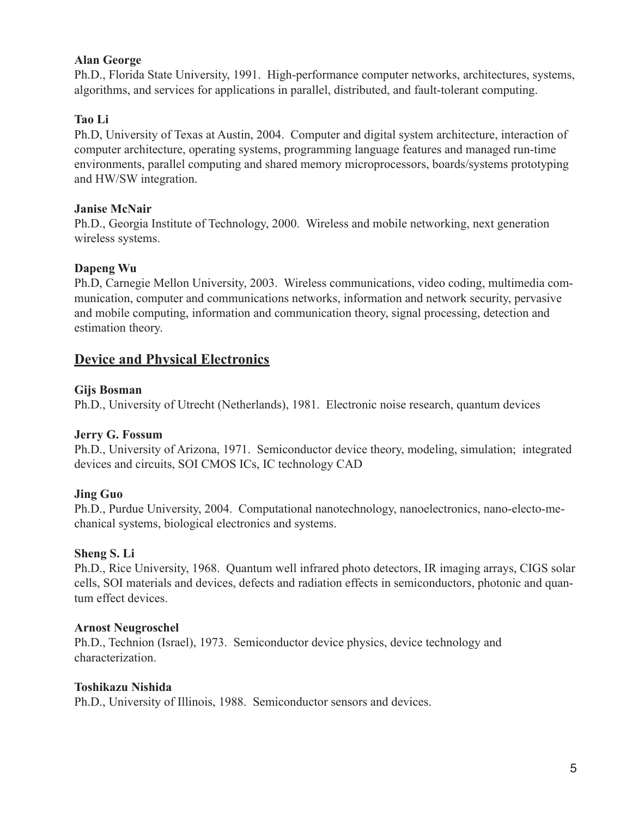## **Alan George**

Ph.D., Florida State University, 1991. High-performance computer networks, architectures, systems, algorithms, and services for applications in parallel, distributed, and fault-tolerant computing.

## **Tao Li**

Ph.D, University of Texas at Austin, 2004. Computer and digital system architecture, interaction of computer architecture, operating systems, programming language features and managed run-time environments, parallel computing and shared memory microprocessors, boards/systems prototyping and HW/SW integration.

### **Janise McNair**

Ph.D., Georgia Institute of Technology, 2000. Wireless and mobile networking, next generation wireless systems.

## **Dapeng Wu**

Ph.D, Carnegie Mellon University, 2003. Wireless communications, video coding, multimedia communication, computer and communications networks, information and network security, pervasive and mobile computing, information and communication theory, signal processing, detection and estimation theory.

## **Device and Physical Electronics**

### **Gijs Bosman**

Ph.D., University of Utrecht (Netherlands), 1981. Electronic noise research, quantum devices

### **Jerry G. Fossum**

Ph.D., University of Arizona, 1971. Semiconductor device theory, modeling, simulation; integrated devices and circuits, SOI CMOS ICs, IC technology CAD

## **Jing Guo**

Ph.D., Purdue University, 2004. Computational nanotechnology, nanoelectronics, nano-electo-mechanical systems, biological electronics and systems.

### **Sheng S. Li**

Ph.D., Rice University, 1968. Quantum well infrared photo detectors, IR imaging arrays, CIGS solar cells, SOI materials and devices, defects and radiation effects in semiconductors, photonic and quantum effect devices.

### **Arnost Neugroschel**

Ph.D., Technion (Israel), 1973. Semiconductor device physics, device technology and characterization.

### **Toshikazu Nishida**

Ph.D., University of Illinois, 1988. Semiconductor sensors and devices.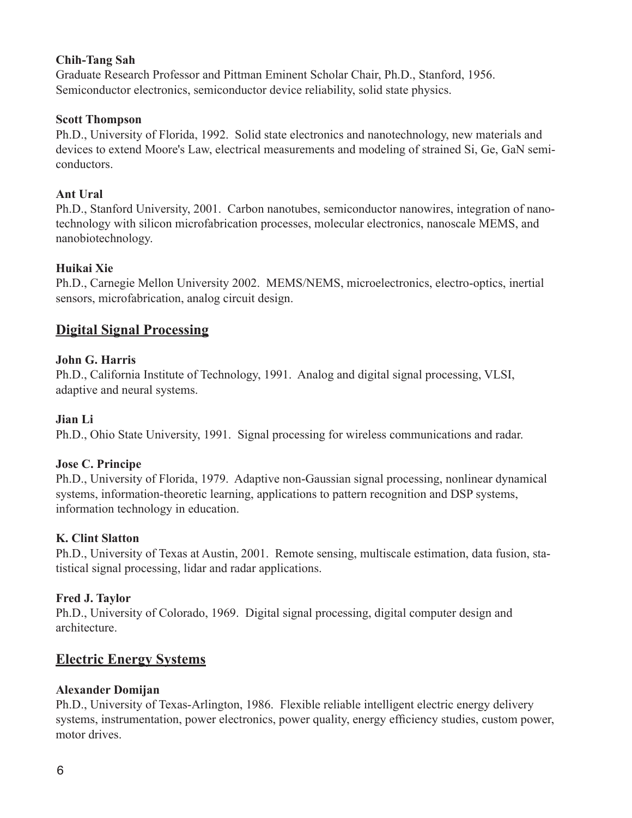### **Chih-Tang Sah**

Graduate Research Professor and Pittman Eminent Scholar Chair, Ph.D., Stanford, 1956. Semiconductor electronics, semiconductor device reliability, solid state physics.

#### **Scott Thompson**

Ph.D., University of Florida, 1992. Solid state electronics and nanotechnology, new materials and devices to extend Moore's Law, electrical measurements and modeling of strained Si, Ge, GaN semiconductors.

#### **Ant Ural**

Ph.D., Stanford University, 2001. Carbon nanotubes, semiconductor nanowires, integration of nanotechnology with silicon microfabrication processes, molecular electronics, nanoscale MEMS, and nanobiotechnology.

### **Huikai Xie**

Ph.D., Carnegie Mellon University 2002. MEMS/NEMS, microelectronics, electro-optics, inertial sensors, microfabrication, analog circuit design.

## **Digital Signal Processing**

### **John G. Harris**

Ph.D., California Institute of Technology, 1991. Analog and digital signal processing, VLSI, adaptive and neural systems.

### **Jian Li**

Ph.D., Ohio State University, 1991. Signal processing for wireless communications and radar.

### **Jose C. Principe**

Ph.D., University of Florida, 1979. Adaptive non-Gaussian signal processing, nonlinear dynamical systems, information-theoretic learning, applications to pattern recognition and DSP systems, information technology in education.

### **K. Clint Slatton**

Ph.D., University of Texas at Austin, 2001. Remote sensing, multiscale estimation, data fusion, statistical signal processing, lidar and radar applications.

### **Fred J. Taylor**

Ph.D., University of Colorado, 1969. Digital signal processing, digital computer design and architecture.

## **Electric Energy Systems**

## **Alexander Domijan**

Ph.D., University of Texas-Arlington, 1986. Flexible reliable intelligent electric energy delivery systems, instrumentation, power electronics, power quality, energy efficiency studies, custom power, motor drives.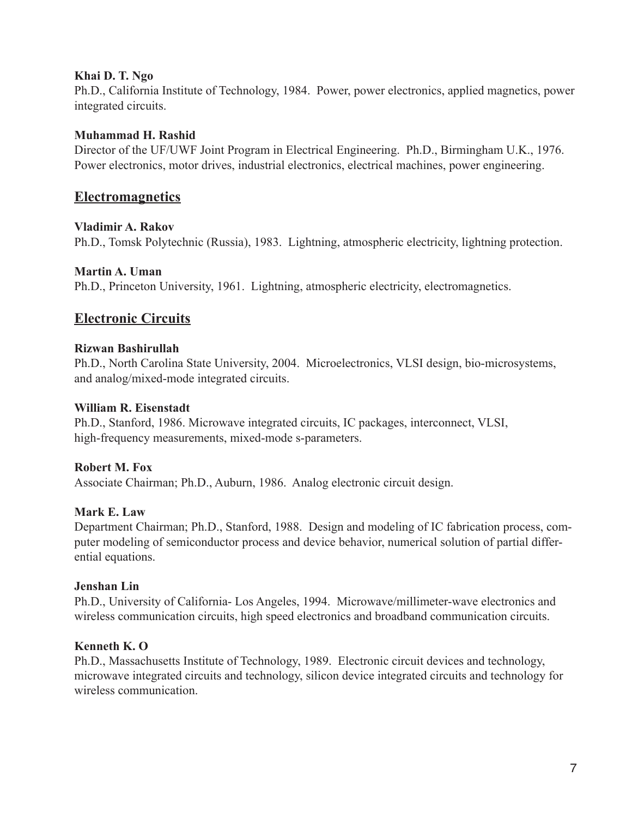### **Khai D. T. Ngo**

Ph.D., California Institute of Technology, 1984. Power, power electronics, applied magnetics, power integrated circuits.

#### **Muhammad H. Rashid**

Director of the UF/UWF Joint Program in Electrical Engineering. Ph.D., Birmingham U.K., 1976. Power electronics, motor drives, industrial electronics, electrical machines, power engineering.

## **Electromagnetics**

#### **Vladimir A. Rakov**

Ph.D., Tomsk Polytechnic (Russia), 1983. Lightning, atmospheric electricity, lightning protection.

## **Martin A. Uman**

Ph.D., Princeton University, 1961. Lightning, atmospheric electricity, electromagnetics.

## **Electronic Circuits**

#### **Rizwan Bashirullah**

Ph.D., North Carolina State University, 2004. Microelectronics, VLSI design, bio-microsystems, and analog/mixed-mode integrated circuits.

#### **William R. Eisenstadt**

Ph.D., Stanford, 1986. Microwave integrated circuits, IC packages, interconnect, VLSI, high-frequency measurements, mixed-mode s-parameters.

### **Robert M. Fox**

Associate Chairman; Ph.D., Auburn, 1986. Analog electronic circuit design.

#### **Mark E. Law**

Department Chairman; Ph.D., Stanford, 1988. Design and modeling of IC fabrication process, computer modeling of semiconductor process and device behavior, numerical solution of partial differential equations.

#### **Jenshan Lin**

Ph.D., University of California- Los Angeles, 1994. Microwave/millimeter-wave electronics and wireless communication circuits, high speed electronics and broadband communication circuits.

### **Kenneth K. O**

Ph.D., Massachusetts Institute of Technology, 1989. Electronic circuit devices and technology, microwave integrated circuits and technology, silicon device integrated circuits and technology for wireless communication.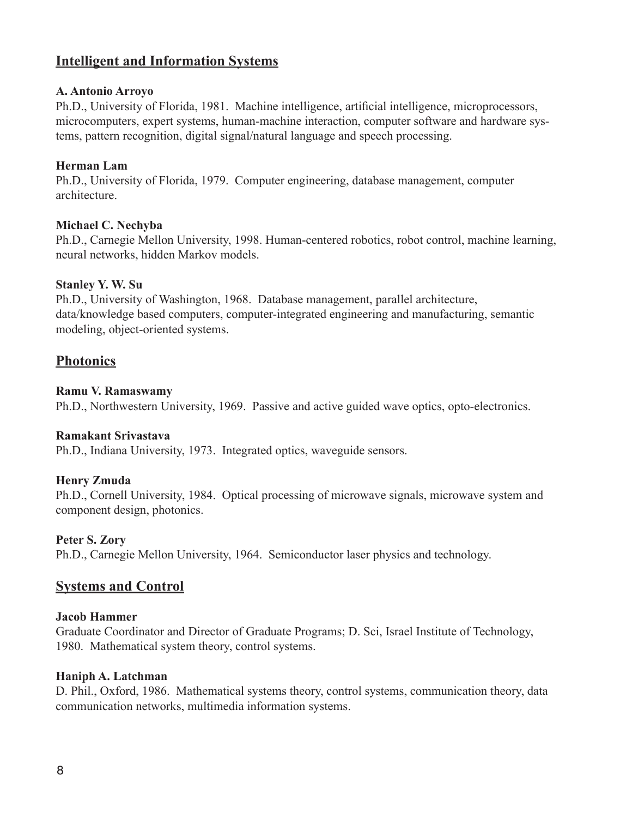## **Intelligent and Information Systems**

### **A. Antonio Arroyo**

Ph.D., University of Florida, 1981. Machine intelligence, artificial intelligence, microprocessors, microcomputers, expert systems, human-machine interaction, computer software and hardware systems, pattern recognition, digital signal/natural language and speech processing.

### **Herman Lam**

Ph.D., University of Florida, 1979. Computer engineering, database management, computer architecture.

#### **Michael C. Nechyba**

Ph.D., Carnegie Mellon University, 1998. Human-centered robotics, robot control, machine learning, neural networks, hidden Markov models.

#### **Stanley Y. W. Su**

Ph.D., University of Washington, 1968. Database management, parallel architecture, data/knowledge based computers, computer-integrated engineering and manufacturing, semantic modeling, object-oriented systems.

## **Photonics**

#### **Ramu V. Ramaswamy**

Ph.D., Northwestern University, 1969. Passive and active guided wave optics, opto-electronics.

#### **Ramakant Srivastava**

Ph.D., Indiana University, 1973. Integrated optics, waveguide sensors.

### **Henry Zmuda**

Ph.D., Cornell University, 1984. Optical processing of microwave signals, microwave system and component design, photonics.

### **Peter S. Zory**

Ph.D., Carnegie Mellon University, 1964. Semiconductor laser physics and technology.

## **Systems and Control**

#### **Jacob Hammer**

Graduate Coordinator and Director of Graduate Programs; D. Sci, Israel Institute of Technology, 1980. Mathematical system theory, control systems.

#### **Haniph A. Latchman**

D. Phil., Oxford, 1986. Mathematical systems theory, control systems, communication theory, data communication networks, multimedia information systems.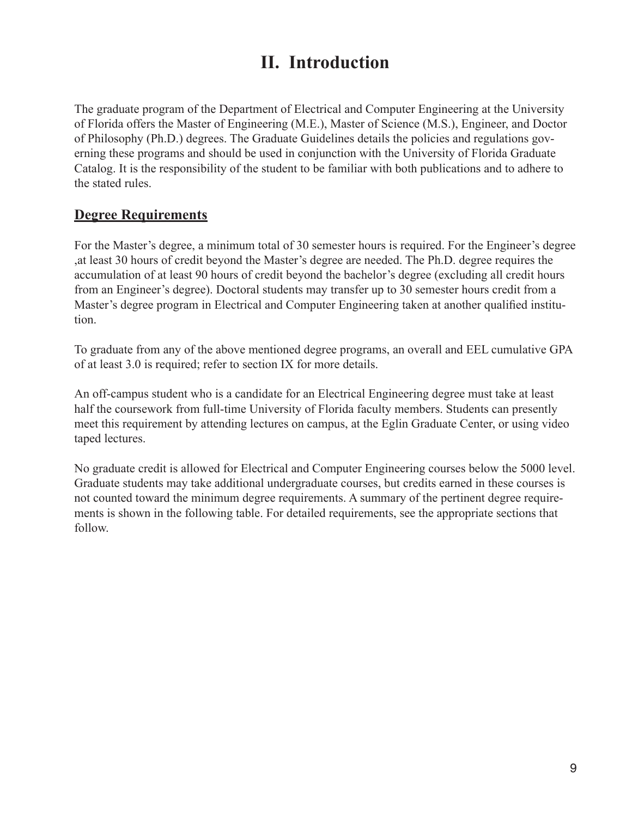## **II. Introduction**

The graduate program of the Department of Electrical and Computer Engineering at the University of Florida offers the Master of Engineering (M.E.), Master of Science (M.S.), Engineer, and Doctor of Philosophy (Ph.D.) degrees. The Graduate Guidelines details the policies and regulations governing these programs and should be used in conjunction with the University of Florida Graduate Catalog. It is the responsibility of the student to be familiar with both publications and to adhere to the stated rules.

## **Degree Requirements**

For the Master's degree, a minimum total of 30 semester hours is required. For the Engineer's degree ,at least 30 hours of credit beyond the Master's degree are needed. The Ph.D. degree requires the accumulation of at least 90 hours of credit beyond the bachelor's degree (excluding all credit hours from an Engineer's degree). Doctoral students may transfer up to 30 semester hours credit from a Master's degree program in Electrical and Computer Engineering taken at another qualified institution.

To graduate from any of the above mentioned degree programs, an overall and EEL cumulative GPA of at least 3.0 is required; refer to section IX for more details.

An off-campus student who is a candidate for an Electrical Engineering degree must take at least half the coursework from full-time University of Florida faculty members. Students can presently meet this requirement by attending lectures on campus, at the Eglin Graduate Center, or using video taped lectures.

No graduate credit is allowed for Electrical and Computer Engineering courses below the 5000 level. Graduate students may take additional undergraduate courses, but credits earned in these courses is not counted toward the minimum degree requirements. A summary of the pertinent degree requirements is shown in the following table. For detailed requirements, see the appropriate sections that follow.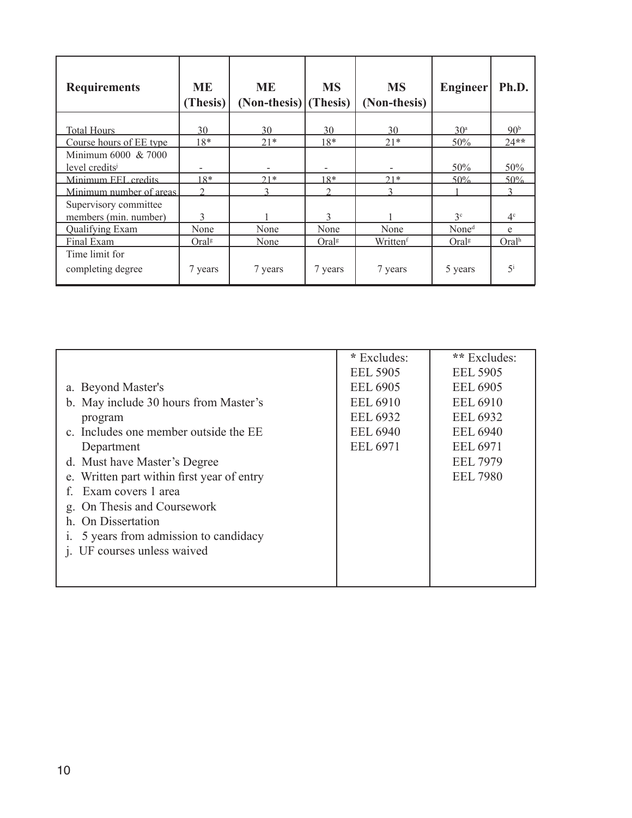| <b>Requirements</b>                               | ME<br>(Thesis)    | <b>ME</b><br>$(Non-thesis)$ (Thesis) | <b>MS</b>         | <b>MS</b><br>(Non-thesis) | Engineer          | Ph.D.             |
|---------------------------------------------------|-------------------|--------------------------------------|-------------------|---------------------------|-------------------|-------------------|
| Total Hours                                       | 30                | 30                                   | 30                | 30                        | 30 <sup>a</sup>   | 90 <sup>b</sup>   |
| Course hours of EE type                           | $18*$             | $21*$                                | $18*$             | $21*$                     | 50%               | $24**$            |
| Minimum 6000 & 7000<br>level credits <sup>j</sup> |                   |                                      |                   |                           | 50%               | 50%               |
| Minimum EEL credits                               | $18*$             | $21*$                                | $18*$             | $21*$                     | 50%               | 50%               |
| Minimum number of areas                           | ◠                 |                                      | ∍                 | ς                         |                   |                   |
| Supervisory committee                             |                   |                                      |                   |                           |                   |                   |
| members (min. number)                             | 3                 |                                      | 3                 |                           | 3c                | 4 <sup>c</sup>    |
| Qualifying Exam                                   | None              | None                                 | None              | None                      | None <sup>d</sup> | e                 |
| Final Exam                                        | Oral <sup>g</sup> | None                                 | Oral <sup>g</sup> | Written <sup>f</sup>      | Oral <sup>g</sup> | Oral <sup>h</sup> |
| Time limit for<br>completing degree               | 7 years           | 7 years                              | 7 years           | 7 years                   | 5 years           | $\mathbf{z}$      |

|                                            | * Excludes:     | ** Excludes:    |
|--------------------------------------------|-----------------|-----------------|
|                                            | <b>EEL 5905</b> | <b>EEL 5905</b> |
| a. Beyond Master's                         | <b>EEL 6905</b> | <b>EEL 6905</b> |
| b. May include 30 hours from Master's      | <b>EEL 6910</b> | <b>EEL 6910</b> |
| program                                    | <b>EEL 6932</b> | <b>EEL 6932</b> |
| c. Includes one member outside the EE      | <b>EEL 6940</b> | <b>EEL 6940</b> |
| Department                                 | <b>EEL 6971</b> | <b>EEL 6971</b> |
| d. Must have Master's Degree               |                 | <b>EEL 7979</b> |
| e. Written part within first year of entry |                 | <b>EEL 7980</b> |
| Exam covers 1 area<br>£                    |                 |                 |
| On Thesis and Coursework<br>g.             |                 |                 |
| h. On Dissertation                         |                 |                 |
| 5 years from admission to candidacy        |                 |                 |
| j. UF courses unless waived                |                 |                 |
|                                            |                 |                 |
|                                            |                 |                 |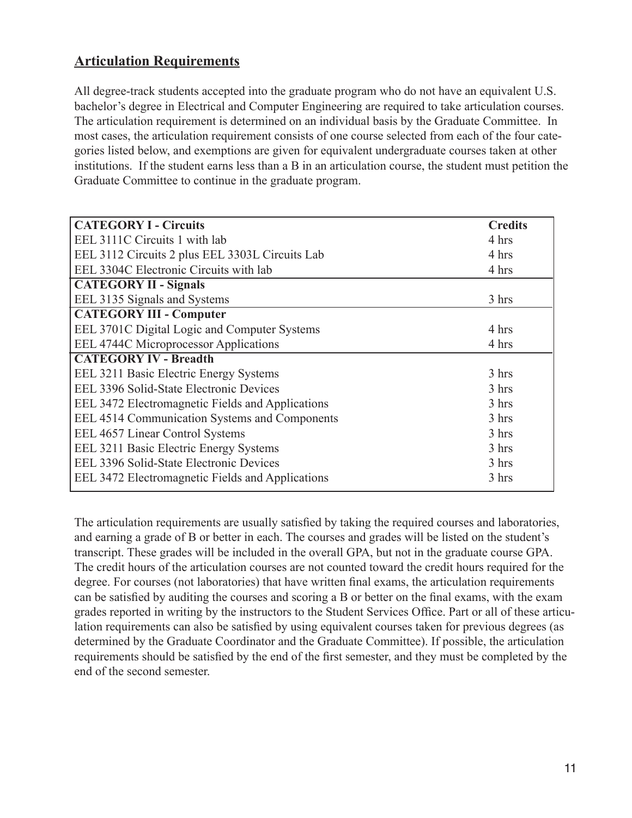## **Articulation Requirements**

All degree-track students accepted into the graduate program who do not have an equivalent U.S. bachelor's degree in Electrical and Computer Engineering are required to take articulation courses. The articulation requirement is determined on an individual basis by the Graduate Committee. In most cases, the articulation requirement consists of one course selected from each of the four categories listed below, and exemptions are given for equivalent undergraduate courses taken at other institutions. If the student earns less than a B in an articulation course, the student must petition the Graduate Committee to continue in the graduate program.

| <b>CATEGORY I - Circuits</b>                     | <b>Credits</b> |
|--------------------------------------------------|----------------|
| EEL 3111C Circuits 1 with lab                    | 4 hrs          |
| EEL 3112 Circuits 2 plus EEL 3303L Circuits Lab  | 4 hrs          |
| EEL 3304C Electronic Circuits with lab           | 4 hrs          |
| <b>CATEGORY II - Signals</b>                     |                |
| EEL 3135 Signals and Systems                     | 3 hrs          |
| <b>CATEGORY III - Computer</b>                   |                |
| EEL 3701C Digital Logic and Computer Systems     | 4 hrs          |
| EEL 4744C Microprocessor Applications            | 4 hrs          |
| <b>CATEGORY IV - Breadth</b>                     |                |
| EEL 3211 Basic Electric Energy Systems           | 3 hrs          |
| EEL 3396 Solid-State Electronic Devices          | 3 hrs          |
| EEL 3472 Electromagnetic Fields and Applications | 3 hrs          |
| EEL 4514 Communication Systems and Components    | 3 hrs          |
| EEL 4657 Linear Control Systems                  | 3 hrs          |
| EEL 3211 Basic Electric Energy Systems           | 3 hrs          |
| EEL 3396 Solid-State Electronic Devices          | 3 hrs          |
| EEL 3472 Electromagnetic Fields and Applications | 3 hrs          |
|                                                  |                |

The articulation requirements are usually satisfied by taking the required courses and laboratories, and earning a grade of B or better in each. The courses and grades will be listed on the student's transcript. These grades will be included in the overall GPA, but not in the graduate course GPA. The credit hours of the articulation courses are not counted toward the credit hours required for the degree. For courses (not laboratories) that have written final exams, the articulation requirements can be satisfied by auditing the courses and scoring a B or better on the final exams, with the exam grades reported in writing by the instructors to the Student Services Office. Part or all of these articulation requirements can also be satisfied by using equivalent courses taken for previous degrees (as determined by the Graduate Coordinator and the Graduate Committee). If possible, the articulation requirements should be satisfied by the end of the first semester, and they must be completed by the end of the second semester.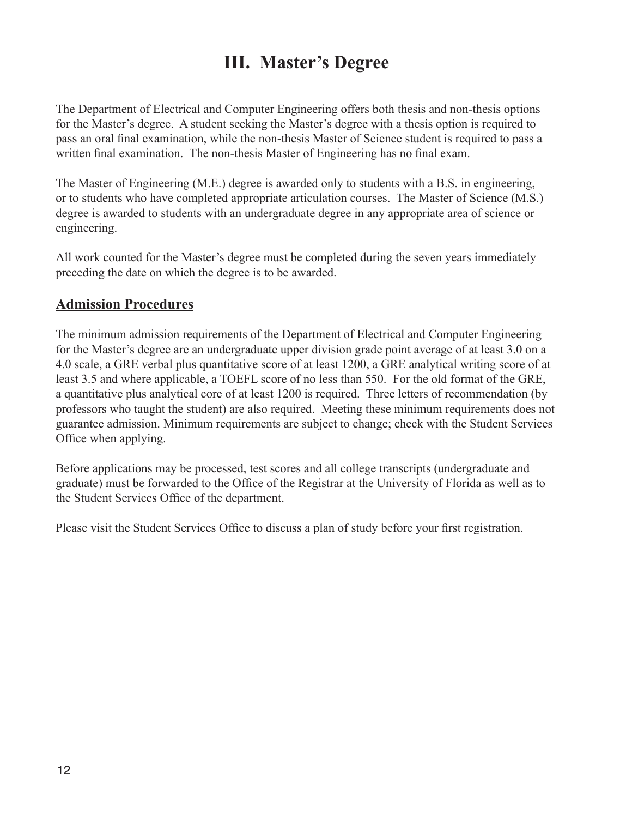## **III. Master's Degree**

The Department of Electrical and Computer Engineering offers both thesis and non-thesis options for the Master's degree. A student seeking the Master's degree with a thesis option is required to pass an oral final examination, while the non-thesis Master of Science student is required to pass a written final examination. The non-thesis Master of Engineering has no final exam.

The Master of Engineering (M.E.) degree is awarded only to students with a B.S. in engineering, or to students who have completed appropriate articulation courses. The Master of Science (M.S.) degree is awarded to students with an undergraduate degree in any appropriate area of science or engineering.

All work counted for the Master's degree must be completed during the seven years immediately preceding the date on which the degree is to be awarded.

## **Admission Procedures**

The minimum admission requirements of the Department of Electrical and Computer Engineering for the Master's degree are an undergraduate upper division grade point average of at least 3.0 on a 4.0 scale, a GRE verbal plus quantitative score of at least 1200, a GRE analytical writing score of at least 3.5 and where applicable, a TOEFL score of no less than 550. For the old format of the GRE, a quantitative plus analytical core of at least 1200 is required. Three letters of recommendation (by professors who taught the student) are also required. Meeting these minimum requirements does not guarantee admission. Minimum requirements are subject to change; check with the Student Services Office when applying.

Before applications may be processed, test scores and all college transcripts (undergraduate and graduate) must be forwarded to the Office of the Registrar at the University of Florida as well as to the Student Services Office of the department.

Please visit the Student Services Office to discuss a plan of study before your first registration.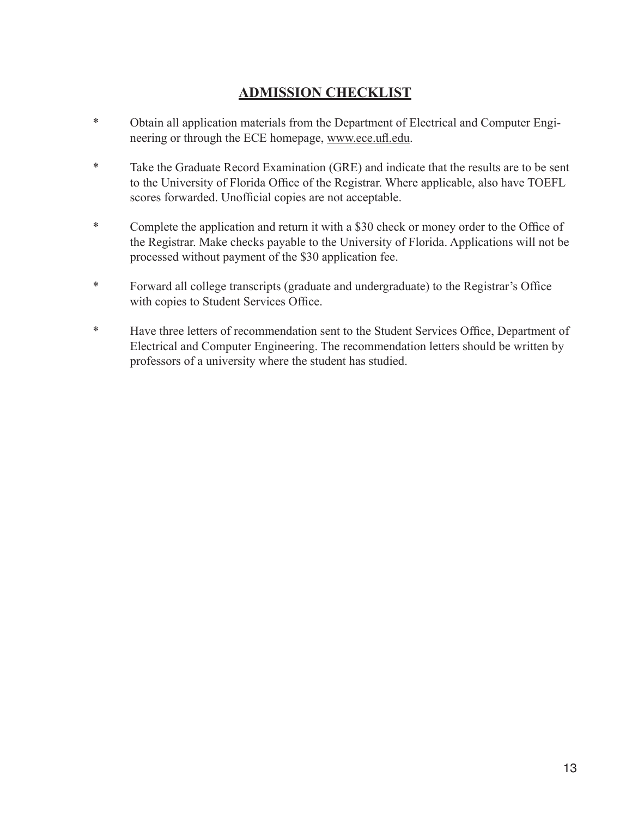## **ADMISSION CHECKLIST**

- \* Obtain all application materials from the Department of Electrical and Computer Engineering or through the ECE homepage, www.ece.ufl.edu.
- \* Take the Graduate Record Examination (GRE) and indicate that the results are to be sent to the University of Florida Office of the Registrar. Where applicable, also have TOEFL scores forwarded. Unofficial copies are not acceptable.
- \* Complete the application and return it with a \$30 check or money order to the Office of the Registrar. Make checks payable to the University of Florida. Applications will not be processed without payment of the \$30 application fee.
- \* Forward all college transcripts (graduate and undergraduate) to the Registrar's Office with copies to Student Services Office.
- \* Have three letters of recommendation sent to the Student Services Office, Department of Electrical and Computer Engineering. The recommendation letters should be written by professors of a university where the student has studied.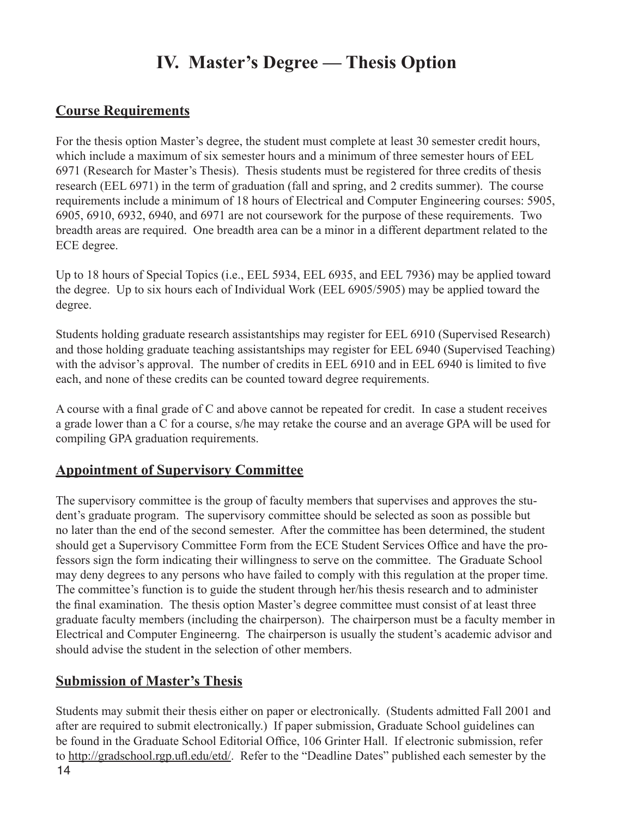## **IV. Master's Degree — Thesis Option**

## **Course Requirements**

For the thesis option Master's degree, the student must complete at least 30 semester credit hours, which include a maximum of six semester hours and a minimum of three semester hours of EEL 6971 (Research for Master's Thesis). Thesis students must be registered for three credits of thesis research (EEL 6971) in the term of graduation (fall and spring, and 2 credits summer). The course requirements include a minimum of 18 hours of Electrical and Computer Engineering courses: 5905, 6905, 6910, 6932, 6940, and 6971 are not coursework for the purpose of these requirements. Two breadth areas are required. One breadth area can be a minor in a different department related to the ECE degree.

Up to 18 hours of Special Topics (i.e., EEL 5934, EEL 6935, and EEL 7936) may be applied toward the degree. Up to six hours each of Individual Work (EEL 6905/5905) may be applied toward the degree.

Students holding graduate research assistantships may register for EEL 6910 (Supervised Research) and those holding graduate teaching assistantships may register for EEL 6940 (Supervised Teaching) with the advisor's approval. The number of credits in EEL 6910 and in EEL 6940 is limited to five each, and none of these credits can be counted toward degree requirements.

A course with a final grade of C and above cannot be repeated for credit. In case a student receives a grade lower than a C for a course, s/he may retake the course and an average GPA will be used for compiling GPA graduation requirements.

## **Appointment of Supervisory Committee**

The supervisory committee is the group of faculty members that supervises and approves the student's graduate program. The supervisory committee should be selected as soon as possible but no later than the end of the second semester. After the committee has been determined, the student should get a Supervisory Committee Form from the ECE Student Services Office and have the professors sign the form indicating their willingness to serve on the committee. The Graduate School may deny degrees to any persons who have failed to comply with this regulation at the proper time. The committee's function is to guide the student through her/his thesis research and to administer the final examination. The thesis option Master's degree committee must consist of at least three graduate faculty members (including the chairperson). The chairperson must be a faculty member in Electrical and Computer Engineerng. The chairperson is usually the student's academic advisor and should advise the student in the selection of other members.

## **Submission of Master's Thesis**

 $14$ Students may submit their thesis either on paper or electronically. (Students admitted Fall 2001 and after are required to submit electronically.) If paper submission, Graduate School guidelines can be found in the Graduate School Editorial Office, 106 Grinter Hall. If electronic submission, refer to http://gradschool.rgp.ufl.edu/etd/. Refer to the "Deadline Dates" published each semester by the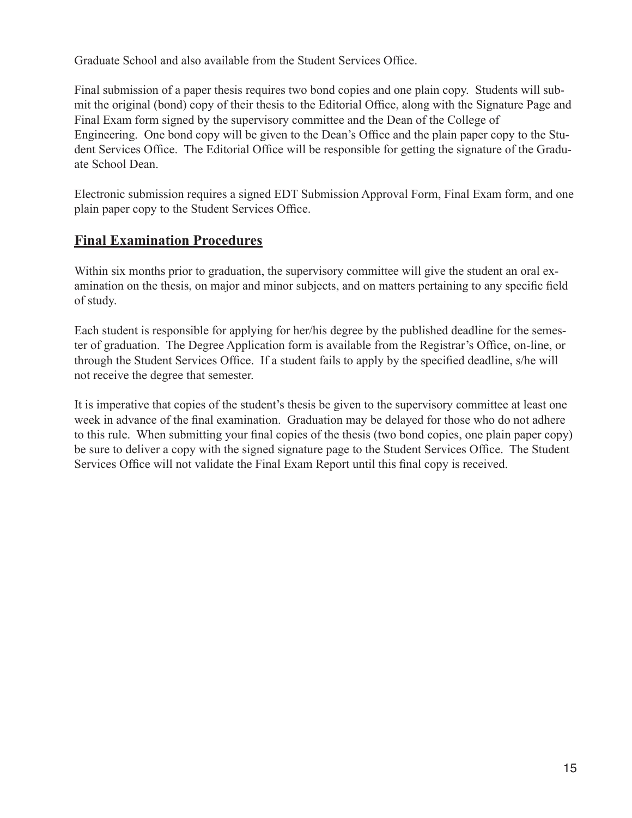Graduate School and also available from the Student Services Office.

Final submission of a paper thesis requires two bond copies and one plain copy. Students will submit the original (bond) copy of their thesis to the Editorial Office, along with the Signature Page and Final Exam form signed by the supervisory committee and the Dean of the College of Engineering. One bond copy will be given to the Dean's Office and the plain paper copy to the Student Services Office. The Editorial Office will be responsible for getting the signature of the Graduate School Dean.

Electronic submission requires a signed EDT Submission Approval Form, Final Exam form, and one plain paper copy to the Student Services Office.

## **Final Examination Procedures**

Within six months prior to graduation, the supervisory committee will give the student an oral examination on the thesis, on major and minor subjects, and on matters pertaining to any specific field of study.

Each student is responsible for applying for her/his degree by the published deadline for the semester of graduation. The Degree Application form is available from the Registrar's Office, on-line, or through the Student Services Office. If a student fails to apply by the specified deadline, s/he will not receive the degree that semester.

It is imperative that copies of the student's thesis be given to the supervisory committee at least one week in advance of the final examination. Graduation may be delayed for those who do not adhere to this rule. When submitting your final copies of the thesis (two bond copies, one plain paper copy) be sure to deliver a copy with the signed signature page to the Student Services Office. The Student Services Office will not validate the Final Exam Report until this final copy is received.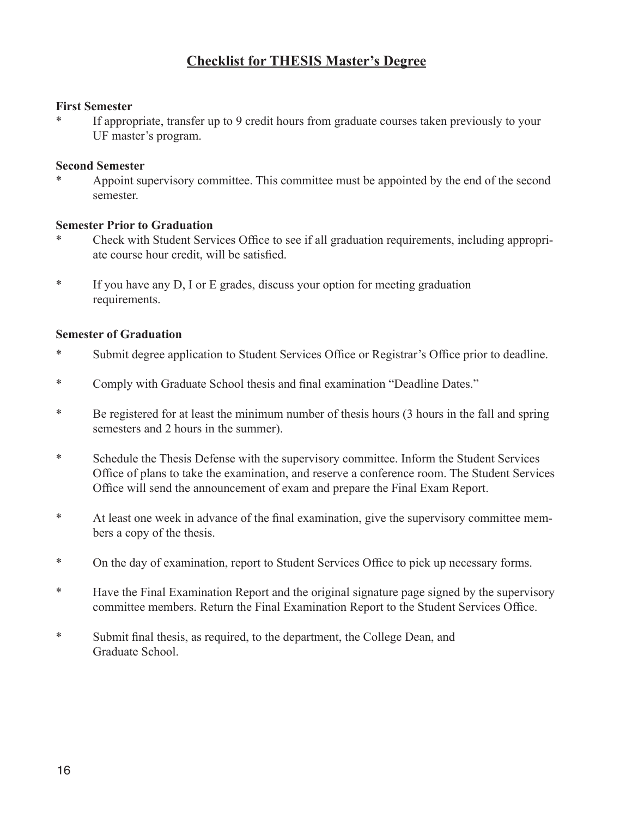## **Checklist for THESIS Master's Degree**

#### **First Semester**

If appropriate, transfer up to 9 credit hours from graduate courses taken previously to your UF master's program.

#### **Second Semester**

Appoint supervisory committee. This committee must be appointed by the end of the second semester.

## **Semester Prior to Graduation**

- Check with Student Services Office to see if all graduation requirements, including appropriate course hour credit, will be satisfied.
- \*If you have any D, I or E grades, discuss your option for meeting graduation requirements.

### **Semester of Graduation**

- \* Submit degree application to Student Services Office or Registrar's Office prior to deadline.
- \* Comply with Graduate School thesis and final examination "Deadline Dates."
- \* Be registered for at least the minimum number of thesis hours (3 hours in the fall and spring semesters and 2 hours in the summer).
- \* Schedule the Thesis Defense with the supervisory committee. Inform the Student Services Office of plans to take the examination, and reserve a conference room. The Student Services Office will send the announcement of exam and prepare the Final Exam Report.
- \* At least one week in advance of the final examination, give the supervisory committee members a copy of the thesis.
- \* On the day of examination, report to Student Services Office to pick up necessary forms.
- \* Have the Final Examination Report and the original signature page signed by the supervisory committee members. Return the Final Examination Report to the Student Services Office.
- \* Submit final thesis, as required, to the department, the College Dean, and Graduate School.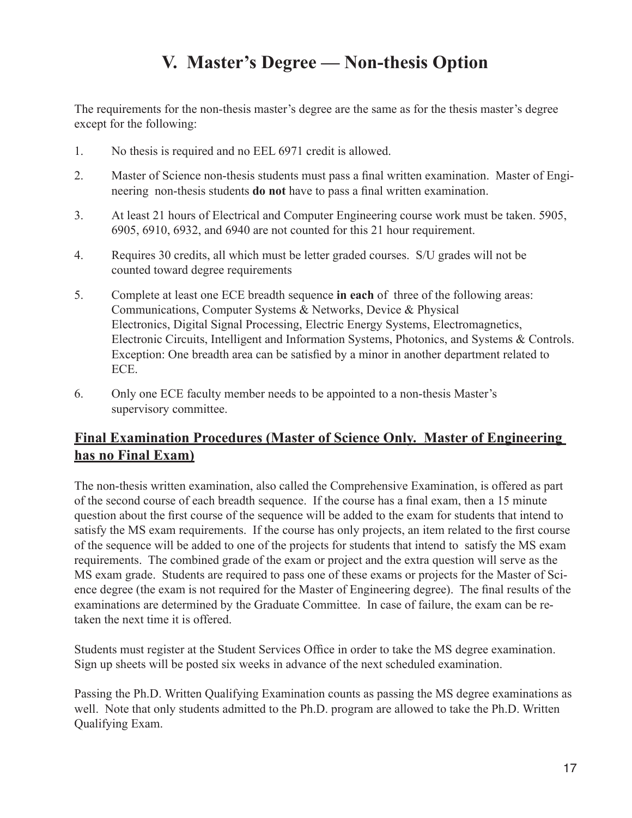## **V. Master's Degree — Non-thesis Option**

The requirements for the non-thesis master's degree are the same as for the thesis master's degree except for the following:

- 1. No thesis is required and no EEL 6971 credit is allowed.
- 2. Master of Science non-thesis students must pass a final written examination. Master of Engi neering non-thesis students **do not** have to pass a final written examination.
- 3. At least 21 hours of Electrical and Computer Engineering course work must be taken. 5905, 6905, 6910, 6932, and 6940 are not counted for this 21 hour requirement.
- 4. Requires 30 credits, all which must be letter graded courses. S/U grades will not be counted toward degree requirements
- 5. Complete at least one ECE breadth sequence **in each** of three of the following areas: Communications, Computer Systems & Networks, Device & Physical Electronics, Digital Signal Processing, Electric Energy Systems, Electromagnetics, Electronic Circuits, Intelligent and Information Systems, Photonics, and Systems & Controls. Exception: One breadth area can be satisfied by a minor in another department related to ECE.
- 6. Only one ECE faculty member needs to be appointed to a non-thesis Master's supervisory committee.

## **Final Examination Procedures (Master of Science Only. Master of Engineering has no Final Exam)**

The non-thesis written examination, also called the Comprehensive Examination, is offered as part of the second course of each breadth sequence. If the course has a final exam, then a 15 minute question about the first course of the sequence will be added to the exam for students that intend to satisfy the MS exam requirements. If the course has only projects, an item related to the first course of the sequence will be added to one of the projects for students that intend to satisfy the MS exam requirements. The combined grade of the exam or project and the extra question will serve as the MS exam grade. Students are required to pass one of these exams or projects for the Master of Science degree (the exam is not required for the Master of Engineering degree). The final results of the examinations are determined by the Graduate Committee. In case of failure, the exam can be retaken the next time it is offered.

Students must register at the Student Services Office in order to take the MS degree examination. Sign up sheets will be posted six weeks in advance of the next scheduled examination.

Passing the Ph.D. Written Qualifying Examination counts as passing the MS degree examinations as well. Note that only students admitted to the Ph.D. program are allowed to take the Ph.D. Written Qualifying Exam.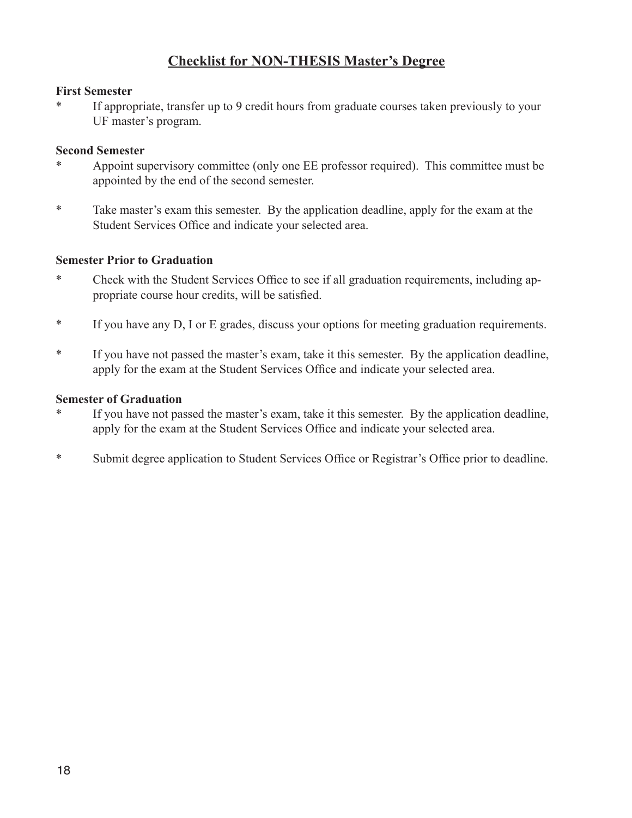## **Checklist for NON-THESIS Master's Degree**

### **First Semester**

If appropriate, transfer up to 9 credit hours from graduate courses taken previously to your UF master's program.

## **Second Semester**

- Appoint supervisory committee (only one EE professor required). This committee must be appointed by the end of the second semester.
- \* Take master's exam this semester. By the application deadline, apply for the exam at the Student Services Office and indicate your selected area.

## **Semester Prior to Graduation**

- \* Check with the Student Services Office to see if all graduation requirements, including appropriate course hour credits, will be satisfied.
- \* If you have any D, I or E grades, discuss your options for meeting graduation requirements.
- \* If you have not passed the master's exam, take it this semester. By the application deadline, apply for the exam at the Student Services Office and indicate your selected area.

### **Semester of Graduation**

- If you have not passed the master's exam, take it this semester. By the application deadline, apply for the exam at the Student Services Office and indicate your selected area.
- \* Submit degree application to Student Services Office or Registrar's Office prior to deadline.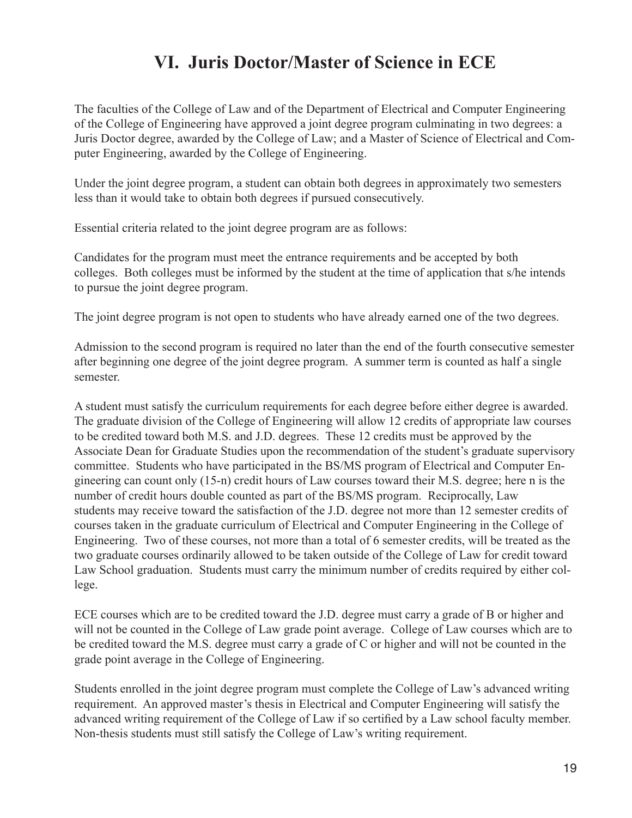## **VI. Juris Doctor/Master of Science in ECE**

The faculties of the College of Law and of the Department of Electrical and Computer Engineering of the College of Engineering have approved a joint degree program culminating in two degrees: a Juris Doctor degree, awarded by the College of Law; and a Master of Science of Electrical and Computer Engineering, awarded by the College of Engineering.

Under the joint degree program, a student can obtain both degrees in approximately two semesters less than it would take to obtain both degrees if pursued consecutively.

Essential criteria related to the joint degree program are as follows:

Candidates for the program must meet the entrance requirements and be accepted by both colleges. Both colleges must be informed by the student at the time of application that s/he intends to pursue the joint degree program.

The joint degree program is not open to students who have already earned one of the two degrees.

Admission to the second program is required no later than the end of the fourth consecutive semester after beginning one degree of the joint degree program. A summer term is counted as half a single semester.

A student must satisfy the curriculum requirements for each degree before either degree is awarded. The graduate division of the College of Engineering will allow 12 credits of appropriate law courses to be credited toward both M.S. and J.D. degrees. These 12 credits must be approved by the Associate Dean for Graduate Studies upon the recommendation of the student's graduate supervisory committee. Students who have participated in the BS/MS program of Electrical and Computer Engineering can count only (15-n) credit hours of Law courses toward their M.S. degree; here n is the number of credit hours double counted as part of the BS/MS program. Reciprocally, Law students may receive toward the satisfaction of the J.D. degree not more than 12 semester credits of courses taken in the graduate curriculum of Electrical and Computer Engineering in the College of Engineering. Two of these courses, not more than a total of 6 semester credits, will be treated as the two graduate courses ordinarily allowed to be taken outside of the College of Law for credit toward Law School graduation. Students must carry the minimum number of credits required by either college.

ECE courses which are to be credited toward the J.D. degree must carry a grade of B or higher and will not be counted in the College of Law grade point average. College of Law courses which are to be credited toward the M.S. degree must carry a grade of C or higher and will not be counted in the grade point average in the College of Engineering.

Students enrolled in the joint degree program must complete the College of Law's advanced writing requirement. An approved master's thesis in Electrical and Computer Engineering will satisfy the advanced writing requirement of the College of Law if so certified by a Law school faculty member. Non-thesis students must still satisfy the College of Law's writing requirement.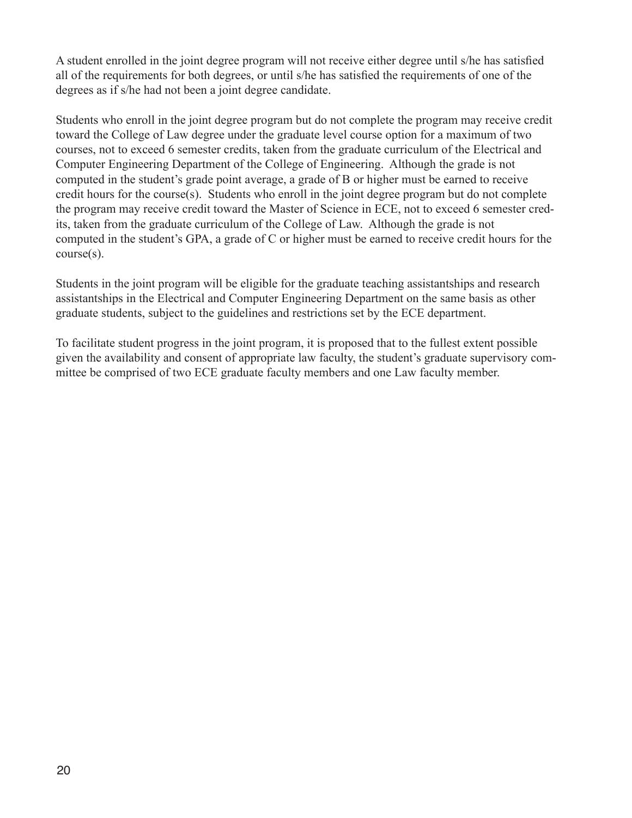A student enrolled in the joint degree program will not receive either degree until s/he has satisfied all of the requirements for both degrees, or until s/he has satisfied the requirements of one of the degrees as if s/he had not been a joint degree candidate.

Students who enroll in the joint degree program but do not complete the program may receive credit toward the College of Law degree under the graduate level course option for a maximum of two courses, not to exceed 6 semester credits, taken from the graduate curriculum of the Electrical and Computer Engineering Department of the College of Engineering. Although the grade is not computed in the student's grade point average, a grade of B or higher must be earned to receive credit hours for the course(s). Students who enroll in the joint degree program but do not complete the program may receive credit toward the Master of Science in ECE, not to exceed 6 semester credits, taken from the graduate curriculum of the College of Law. Although the grade is not computed in the student's GPA, a grade of C or higher must be earned to receive credit hours for the course(s).

Students in the joint program will be eligible for the graduate teaching assistantships and research assistantships in the Electrical and Computer Engineering Department on the same basis as other graduate students, subject to the guidelines and restrictions set by the ECE department.

To facilitate student progress in the joint program, it is proposed that to the fullest extent possible given the availability and consent of appropriate law faculty, the student's graduate supervisory committee be comprised of two ECE graduate faculty members and one Law faculty member.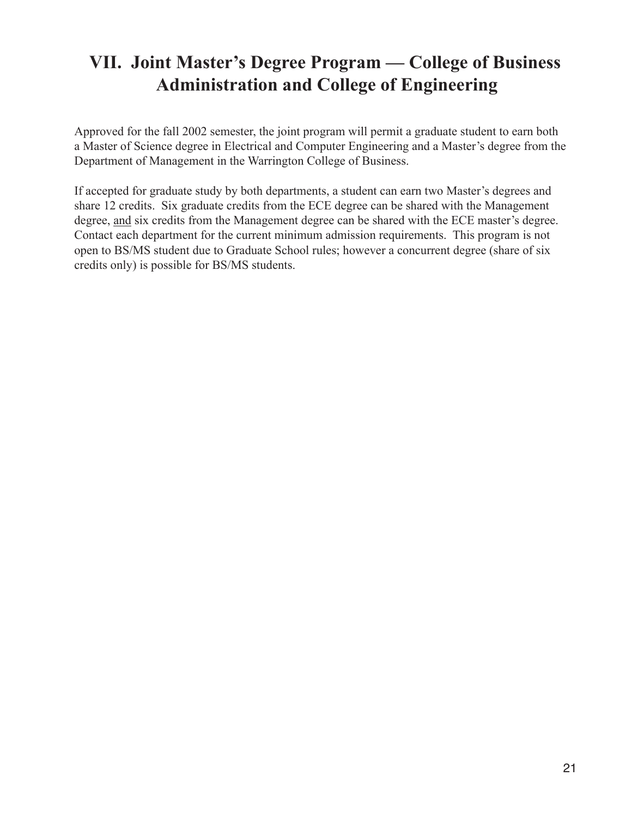## **VII. Joint Master's Degree Program — College of Business Administration and College of Engineering**

Approved for the fall 2002 semester, the joint program will permit a graduate student to earn both a Master of Science degree in Electrical and Computer Engineering and a Master's degree from the Department of Management in the Warrington College of Business.

If accepted for graduate study by both departments, a student can earn two Master's degrees and share 12 credits. Six graduate credits from the ECE degree can be shared with the Management degree, and six credits from the Management degree can be shared with the ECE master's degree. Contact each department for the current minimum admission requirements. This program is not open to BS/MS student due to Graduate School rules; however a concurrent degree (share of six credits only) is possible for BS/MS students.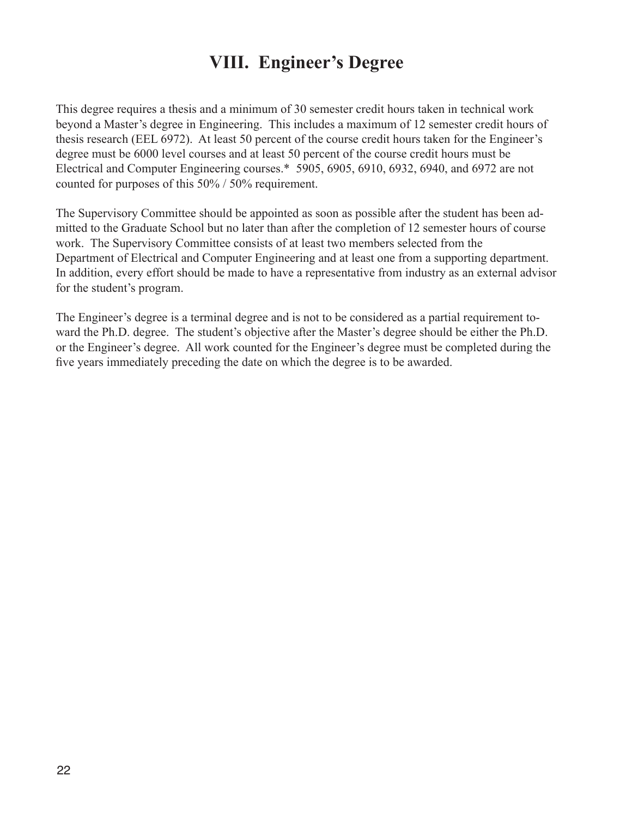## **VIII. Engineer's Degree**

This degree requires a thesis and a minimum of 30 semester credit hours taken in technical work beyond a Master's degree in Engineering. This includes a maximum of 12 semester credit hours of thesis research (EEL 6972). At least 50 percent of the course credit hours taken for the Engineer's degree must be 6000 level courses and at least 50 percent of the course credit hours must be Electrical and Computer Engineering courses.\* 5905, 6905, 6910, 6932, 6940, and 6972 are not counted for purposes of this 50% / 50% requirement.

The Supervisory Committee should be appointed as soon as possible after the student has been admitted to the Graduate School but no later than after the completion of 12 semester hours of course work. The Supervisory Committee consists of at least two members selected from the Department of Electrical and Computer Engineering and at least one from a supporting department. In addition, every effort should be made to have a representative from industry as an external advisor for the student's program.

The Engineer's degree is a terminal degree and is not to be considered as a partial requirement toward the Ph.D. degree. The student's objective after the Master's degree should be either the Ph.D. or the Engineer's degree. All work counted for the Engineer's degree must be completed during the five years immediately preceding the date on which the degree is to be awarded.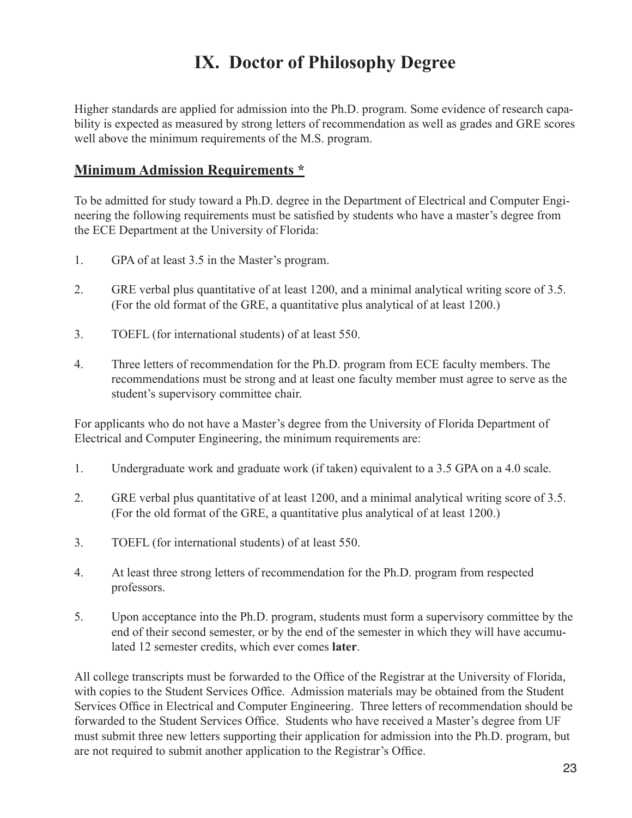## **IX. Doctor of Philosophy Degree**

Higher standards are applied for admission into the Ph.D. program. Some evidence of research capability is expected as measured by strong letters of recommendation as well as grades and GRE scores well above the minimum requirements of the M.S. program.

## **Minimum Admission Requirements \***

To be admitted for study toward a Ph.D. degree in the Department of Electrical and Computer Engineering the following requirements must be satisfied by students who have a master's degree from the ECE Department at the University of Florida:

- 1. GPA of at least 3.5 in the Master's program.
- 2. GRE verbal plus quantitative of at least 1200, and a minimal analytical writing score of 3.5. (For the old format of the GRE, a quantitative plus analytical of at least 1200.)
- 3. TOEFL (for international students) of at least 550.
- 4. Three letters of recommendation for the Ph.D. program from ECE faculty members. The recommendations must be strong and at least one faculty member must agree to serve as the student's supervisory committee chair.

For applicants who do not have a Master's degree from the University of Florida Department of Electrical and Computer Engineering, the minimum requirements are:

- 1. Undergraduate work and graduate work (if taken) equivalent to a 3.5 GPA on a 4.0 scale.
- 2. GRE verbal plus quantitative of at least 1200, and a minimal analytical writing score of 3.5. (For the old format of the GRE, a quantitative plus analytical of at least 1200.)
- 3. TOEFL (for international students) of at least 550.
- 4. At least three strong letters of recommendation for the Ph.D. program from respected professors.
- 5. Upon acceptance into the Ph.D. program, students must form a supervisory committee by the end of their second semester, or by the end of the semester in which they will have accumulated 12 semester credits, which ever comes **later**.

All college transcripts must be forwarded to the Office of the Registrar at the University of Florida, with copies to the Student Services Office. Admission materials may be obtained from the Student Services Office in Electrical and Computer Engineering. Three letters of recommendation should be forwarded to the Student Services Office. Students who have received a Master's degree from UF must submit three new letters supporting their application for admission into the Ph.D. program, but are not required to submit another application to the Registrar's Office.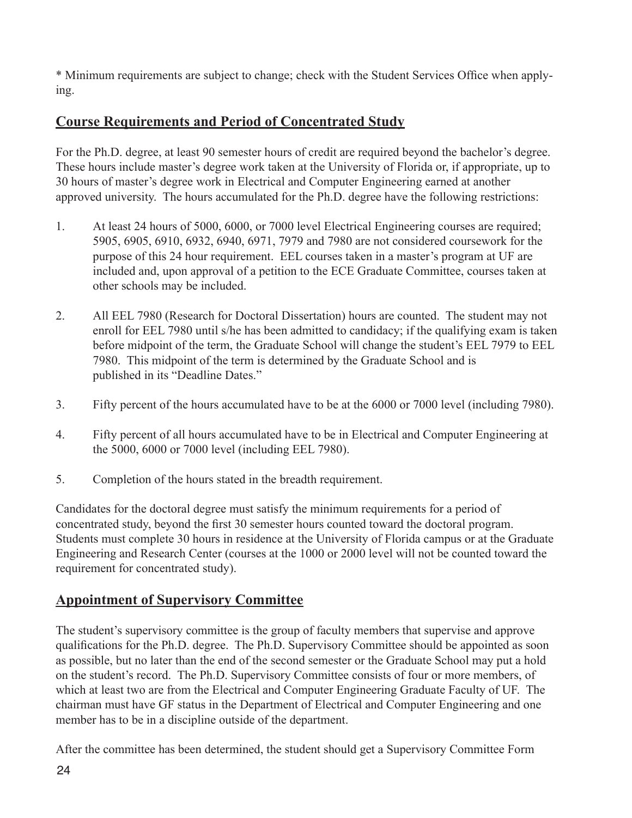\* Minimum requirements are subject to change; check with the Student Services Office when applying.

## **Course Requirements and Period of Concentrated Study**

For the Ph.D. degree, at least 90 semester hours of credit are required beyond the bachelor's degree. These hours include master's degree work taken at the University of Florida or, if appropriate, up to 30 hours of master's degree work in Electrical and Computer Engineering earned at another approved university. The hours accumulated for the Ph.D. degree have the following restrictions:

- 1. At least 24 hours of 5000, 6000, or 7000 level Electrical Engineering courses are required; 5905, 6905, 6910, 6932, 6940, 6971, 7979 and 7980 are not considered coursework for the purpose of this 24 hour requirement. EEL courses taken in a master's program at UF are included and, upon approval of a petition to the ECE Graduate Committee, courses taken at other schools may be included.
- 2. All EEL 7980 (Research for Doctoral Dissertation) hours are counted. The student may not enroll for EEL 7980 until s/he has been admitted to candidacy; if the qualifying exam is taken before midpoint of the term, the Graduate School will change the student's EEL 7979 to EEL 7980. This midpoint of the term is determined by the Graduate School and is published in its "Deadline Dates."
- 3. Fifty percent of the hours accumulated have to be at the 6000 or 7000 level (including 7980).
- 4. Fifty percent of all hours accumulated have to be in Electrical and Computer Engineering at the 5000, 6000 or 7000 level (including EEL 7980).
- 5. Completion of the hours stated in the breadth requirement.

Candidates for the doctoral degree must satisfy the minimum requirements for a period of concentrated study, beyond the first 30 semester hours counted toward the doctoral program. Students must complete 30 hours in residence at the University of Florida campus or at the Graduate Engineering and Research Center (courses at the 1000 or 2000 level will not be counted toward the requirement for concentrated study).

## **Appointment of Supervisory Committee**

The student's supervisory committee is the group of faculty members that supervise and approve qualifications for the Ph.D. degree. The Ph.D. Supervisory Committee should be appointed as soon as possible, but no later than the end of the second semester or the Graduate School may put a hold on the student's record. The Ph.D. Supervisory Committee consists of four or more members, of which at least two are from the Electrical and Computer Engineering Graduate Faculty of UF. The chairman must have GF status in the Department of Electrical and Computer Engineering and one member has to be in a discipline outside of the department.

After the committee has been determined, the student should get a Supervisory Committee Form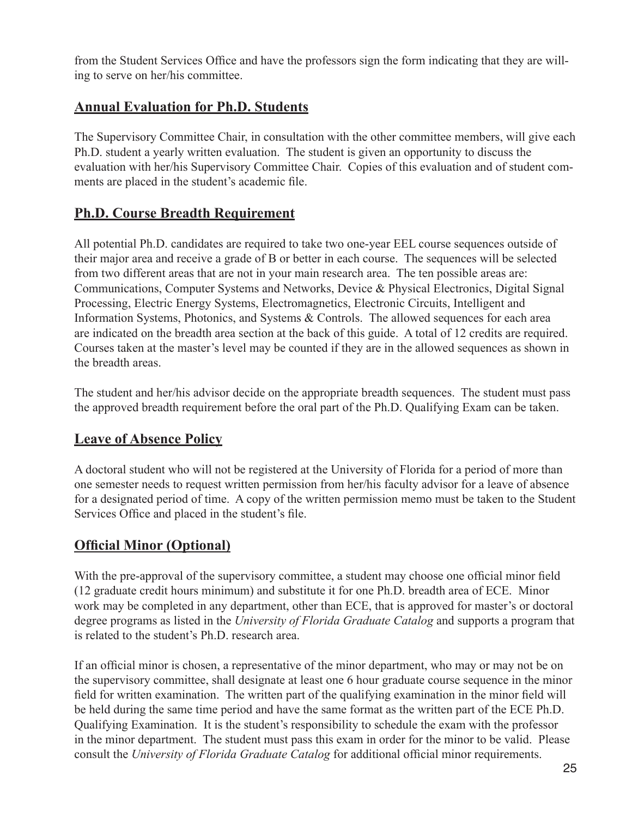from the Student Services Office and have the professors sign the form indicating that they are willing to serve on her/his committee.

## **Annual Evaluation for Ph.D. Students**

The Supervisory Committee Chair, in consultation with the other committee members, will give each Ph.D. student a yearly written evaluation. The student is given an opportunity to discuss the evaluation with her/his Supervisory Committee Chair. Copies of this evaluation and of student comments are placed in the student's academic file.

## **Ph.D. Course Breadth Requirement**

All potential Ph.D. candidates are required to take two one-year EEL course sequences outside of their major area and receive a grade of B or better in each course. The sequences will be selected from two different areas that are not in your main research area. The ten possible areas are: Communications, Computer Systems and Networks, Device & Physical Electronics, Digital Signal Processing, Electric Energy Systems, Electromagnetics, Electronic Circuits, Intelligent and Information Systems, Photonics, and Systems & Controls. The allowed sequences for each area are indicated on the breadth area section at the back of this guide. A total of 12 credits are required. Courses taken at the master's level may be counted if they are in the allowed sequences as shown in the breadth areas.

The student and her/his advisor decide on the appropriate breadth sequences. The student must pass the approved breadth requirement before the oral part of the Ph.D. Qualifying Exam can be taken.

## **Leave of Absence Policy**

A doctoral student who will not be registered at the University of Florida for a period of more than one semester needs to request written permission from her/his faculty advisor for a leave of absence for a designated period of time. A copy of the written permission memo must be taken to the Student Services Office and placed in the student's file.

## **Official Minor (Optional)**

With the pre-approval of the supervisory committee, a student may choose one official minor field (12 graduate credit hours minimum) and substitute it for one Ph.D. breadth area of ECE. Minor work may be completed in any department, other than ECE, that is approved for master's or doctoral degree programs as listed in the *University of Florida Graduate Catalog* and supports a program that is related to the student's Ph.D. research area.

If an official minor is chosen, a representative of the minor department, who may or may not be on the supervisory committee, shall designate at least one 6 hour graduate course sequence in the minor field for written examination. The written part of the qualifying examination in the minor field will be held during the same time period and have the same format as the written part of the ECE Ph.D. Qualifying Examination. It is the student's responsibility to schedule the exam with the professor in the minor department. The student must pass this exam in order for the minor to be valid. Please consult the *University of Florida Graduate Catalog* for additional official minor requirements.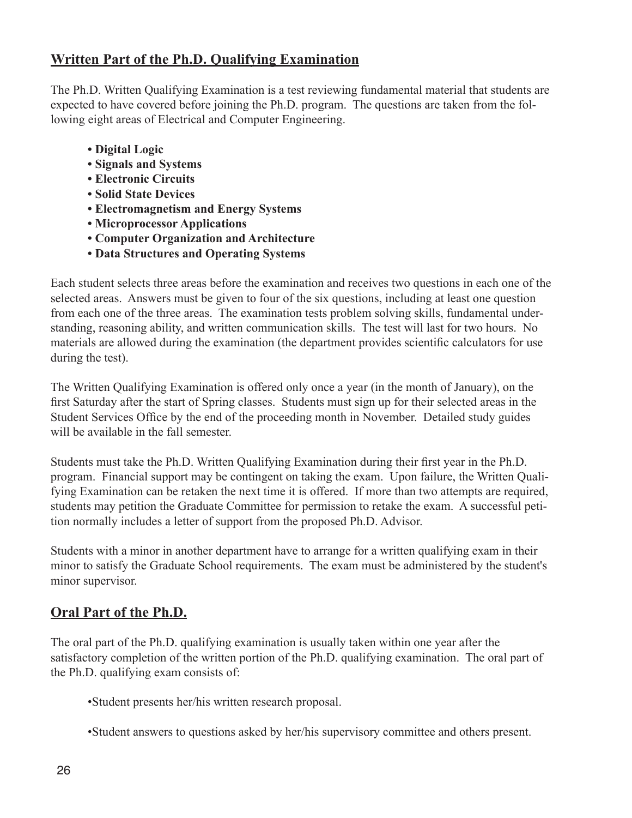## **Written Part of the Ph.D. Qualifying Examination**

The Ph.D. Written Qualifying Examination is a test reviewing fundamental material that students are expected to have covered before joining the Ph.D. program. The questions are taken from the following eight areas of Electrical and Computer Engineering.

- **Digital Logic**
- **Signals and Systems**
- **Electronic Circuits**
- **Solid State Devices**
- **Electromagnetism and Energy Systems**
- **Microprocessor Applications**
- **Computer Organization and Architecture**
- **Data Structures and Operating Systems**

Each student selects three areas before the examination and receives two questions in each one of the selected areas. Answers must be given to four of the six questions, including at least one question from each one of the three areas. The examination tests problem solving skills, fundamental understanding, reasoning ability, and written communication skills. The test will last for two hours. No materials are allowed during the examination (the department provides scientific calculators for use during the test).

The Written Qualifying Examination is offered only once a year (in the month of January), on the first Saturday after the start of Spring classes. Students must sign up for their selected areas in the Student Services Office by the end of the proceeding month in November. Detailed study guides will be available in the fall semester.

Students must take the Ph.D. Written Qualifying Examination during their first year in the Ph.D. program. Financial support may be contingent on taking the exam. Upon failure, the Written Qualifying Examination can be retaken the next time it is offered. If more than two attempts are required, students may petition the Graduate Committee for permission to retake the exam. A successful petition normally includes a letter of support from the proposed Ph.D. Advisor.

Students with a minor in another department have to arrange for a written qualifying exam in their minor to satisfy the Graduate School requirements. The exam must be administered by the student's minor supervisor.

## **Oral Part of the Ph.D.**

The oral part of the Ph.D. qualifying examination is usually taken within one year after the satisfactory completion of the written portion of the Ph.D. qualifying examination. The oral part of the Ph.D. qualifying exam consists of:

•Student presents her/his written research proposal.

•Student answers to questions asked by her/his supervisory committee and others present.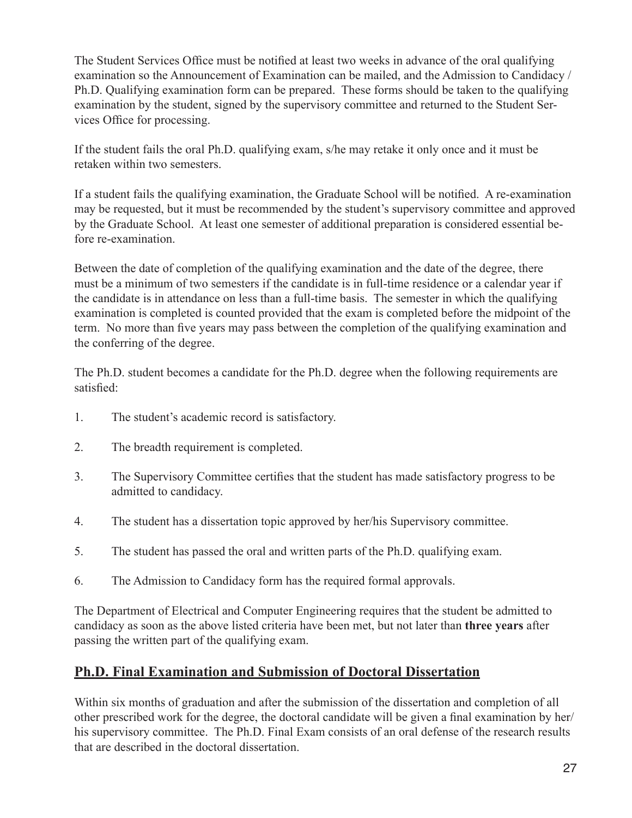The Student Services Office must be notified at least two weeks in advance of the oral qualifying examination so the Announcement of Examination can be mailed, and the Admission to Candidacy / Ph.D. Qualifying examination form can be prepared. These forms should be taken to the qualifying examination by the student, signed by the supervisory committee and returned to the Student Services Office for processing.

If the student fails the oral Ph.D. qualifying exam, s/he may retake it only once and it must be retaken within two semesters.

If a student fails the qualifying examination, the Graduate School will be notified. A re-examination may be requested, but it must be recommended by the student's supervisory committee and approved by the Graduate School. At least one semester of additional preparation is considered essential before re-examination.

Between the date of completion of the qualifying examination and the date of the degree, there must be a minimum of two semesters if the candidate is in full-time residence or a calendar year if the candidate is in attendance on less than a full-time basis. The semester in which the qualifying examination is completed is counted provided that the exam is completed before the midpoint of the term. No more than five years may pass between the completion of the qualifying examination and the conferring of the degree.

The Ph.D. student becomes a candidate for the Ph.D. degree when the following requirements are satisfied:

- 1. The student's academic record is satisfactory.
- 2. The breadth requirement is completed.
- 3. The Supervisory Committee certifies that the student has made satisfactory progress to be admitted to candidacy.
- 4. The student has a dissertation topic approved by her/his Supervisory committee.
- 5. The student has passed the oral and written parts of the Ph.D. qualifying exam.
- 6. The Admission to Candidacy form has the required formal approvals.

The Department of Electrical and Computer Engineering requires that the student be admitted to candidacy as soon as the above listed criteria have been met, but not later than **three years** after passing the written part of the qualifying exam.

## **Ph.D. Final Examination and Submission of Doctoral Dissertation**

Within six months of graduation and after the submission of the dissertation and completion of all other prescribed work for the degree, the doctoral candidate will be given a final examination by her/ his supervisory committee. The Ph.D. Final Exam consists of an oral defense of the research results that are described in the doctoral dissertation.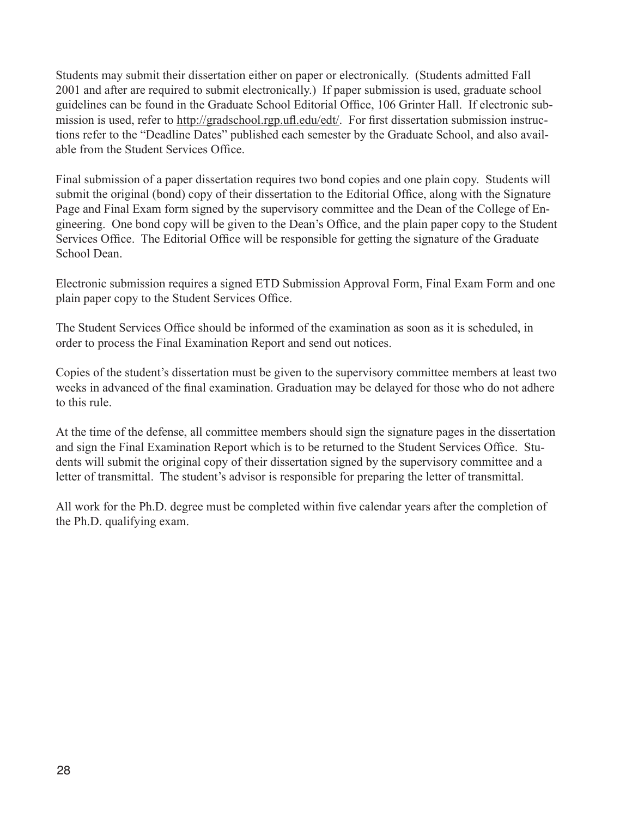Students may submit their dissertation either on paper or electronically. (Students admitted Fall 2001 and after are required to submit electronically.) If paper submission is used, graduate school guidelines can be found in the Graduate School Editorial Office, 106 Grinter Hall. If electronic submission is used, refer to http://gradschool.rgp.ufl.edu/edt/. For first dissertation submission instructions refer to the "Deadline Dates" published each semester by the Graduate School, and also available from the Student Services Office.

Final submission of a paper dissertation requires two bond copies and one plain copy. Students will submit the original (bond) copy of their dissertation to the Editorial Office, along with the Signature Page and Final Exam form signed by the supervisory committee and the Dean of the College of Engineering. One bond copy will be given to the Dean's Office, and the plain paper copy to the Student Services Office. The Editorial Office will be responsible for getting the signature of the Graduate School Dean.

Electronic submission requires a signed ETD Submission Approval Form, Final Exam Form and one plain paper copy to the Student Services Office.

The Student Services Office should be informed of the examination as soon as it is scheduled, in order to process the Final Examination Report and send out notices.

Copies of the student's dissertation must be given to the supervisory committee members at least two weeks in advanced of the final examination. Graduation may be delayed for those who do not adhere to this rule.

At the time of the defense, all committee members should sign the signature pages in the dissertation and sign the Final Examination Report which is to be returned to the Student Services Office. Students will submit the original copy of their dissertation signed by the supervisory committee and a letter of transmittal. The student's advisor is responsible for preparing the letter of transmittal.

All work for the Ph.D. degree must be completed within five calendar years after the completion of the Ph.D. qualifying exam.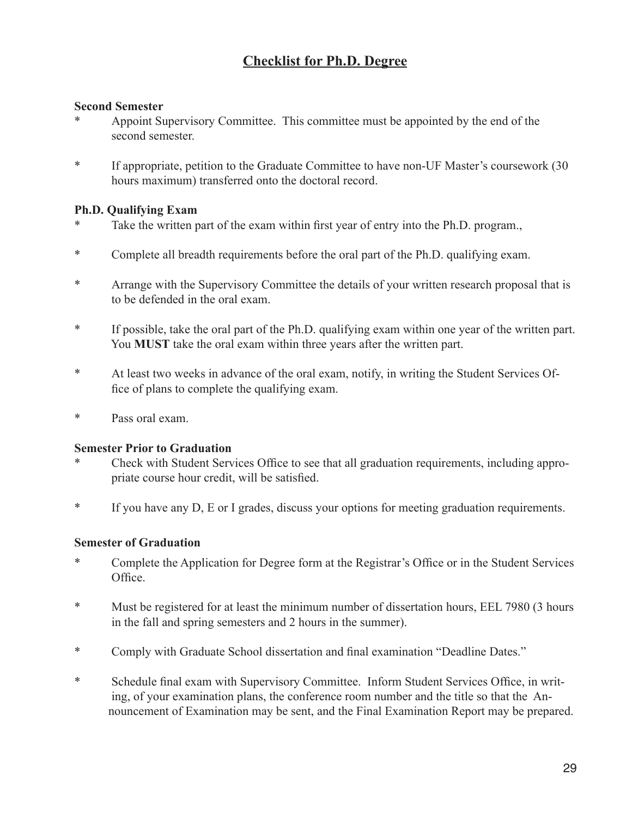## **Checklist for Ph.D. Degree**

#### **Second Semester**

- Appoint Supervisory Committee. This committee must be appointed by the end of the second semester.
- \* If appropriate, petition to the Graduate Committee to have non-UF Master's coursework (30 hours maximum) transferred onto the doctoral record.

## **Ph.D. Qualifying Exam**

- Take the written part of the exam within first year of entry into the Ph.D. program.,
- \* Complete all breadth requirements before the oral part of the Ph.D. qualifying exam.
- \* Arrange with the Supervisory Committee the details of your written research proposal that is to be defended in the oral exam.
- \* If possible, take the oral part of the Ph.D. qualifying exam within one year of the written part. You **MUST** take the oral exam within three years after the written part.
- \* At least two weeks in advance of the oral exam, notify, in writing the Student Services Office of plans to complete the qualifying exam.
- \* Pass oral exam.

### **Semester Prior to Graduation**

- Check with Student Services Office to see that all graduation requirements, including appropriate course hour credit, will be satisfied.
- \* If you have any D, E or I grades, discuss your options for meeting graduation requirements.

### **Semester of Graduation**

- \* Complete the Application for Degree form at the Registrar's Office or in the Student Services Office.
- \* Must be registered for at least the minimum number of dissertation hours, EEL 7980 (3 hours in the fall and spring semesters and 2 hours in the summer).
- \* Comply with Graduate School dissertation and final examination "Deadline Dates."
- \* Schedule final exam with Supervisory Committee. Inform Student Services Office, in writing, of your examination plans, the conference room number and the title so that the An nouncement of Examination may be sent, and the Final Examination Report may be prepared.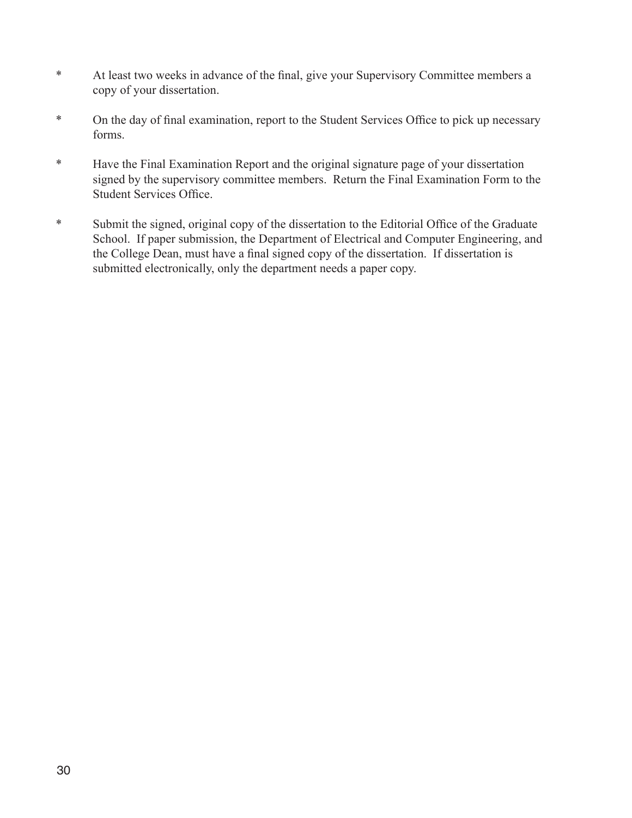- \* At least two weeks in advance of the final, give your Supervisory Committee members a copy of your dissertation.
- \* On the day of final examination, report to the Student Services Office to pick up necessary forms.
- \* Have the Final Examination Report and the original signature page of your dissertation signed by the supervisory committee members. Return the Final Examination Form to the Student Services Office.
- \* Submit the signed, original copy of the dissertation to the Editorial Office of the Graduate School. If paper submission, the Department of Electrical and Computer Engineering, and the College Dean, must have a final signed copy of the dissertation. If dissertation is submitted electronically, only the department needs a paper copy.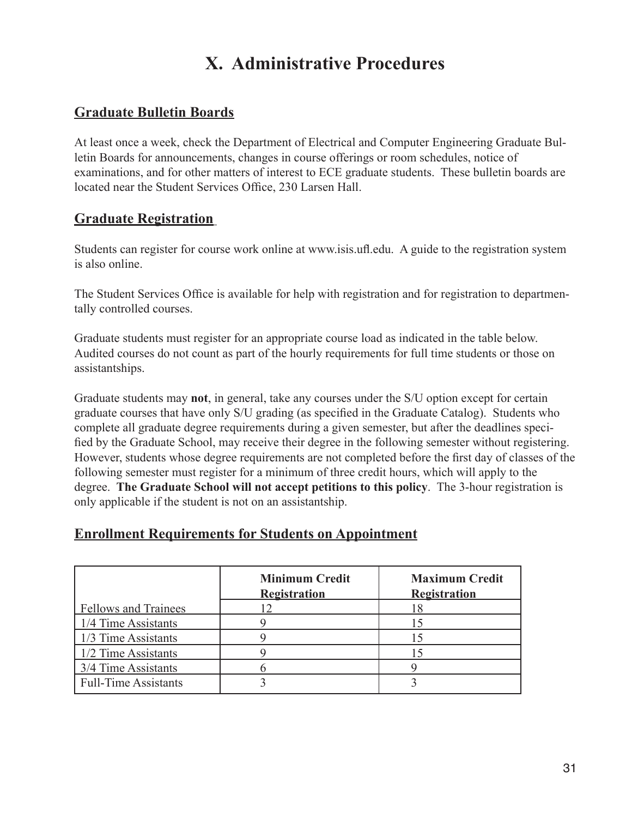## **X. Administrative Procedures**

## **Graduate Bulletin Boards**

At least once a week, check the Department of Electrical and Computer Engineering Graduate Bulletin Boards for announcements, changes in course offerings or room schedules, notice of examinations, and for other matters of interest to ECE graduate students. These bulletin boards are located near the Student Services Office, 230 Larsen Hall.

## **Graduate Registration**

Students can register for course work online at www.isis.ufl.edu. A guide to the registration system is also online.

The Student Services Office is available for help with registration and for registration to departmentally controlled courses.

Graduate students must register for an appropriate course load as indicated in the table below. Audited courses do not count as part of the hourly requirements for full time students or those on assistantships.

Graduate students may **not**, in general, take any courses under the S/U option except for certain graduate courses that have only S/U grading (as specified in the Graduate Catalog). Students who complete all graduate degree requirements during a given semester, but after the deadlines specified by the Graduate School, may receive their degree in the following semester without registering. However, students whose degree requirements are not completed before the first day of classes of the following semester must register for a minimum of three credit hours, which will apply to the degree. **The Graduate School will not accept petitions to this policy**. The 3-hour registration is only applicable if the student is not on an assistantship.

## **Minimum Credit | Maximum Credit Registration Registration** Fellows and Trainees 12 18 1/4 Time Assistants 19 15  $1/3$  Time Assistants  $\begin{array}{ccc} 9 & 9 \\ 15 & 15 \end{array}$  $1/2$  Time Assistants 9 15  $3/4$  Time Assistants 6 9

## **Enrollment Requirements for Students on Appointment**

Full-Time Assistants 1 3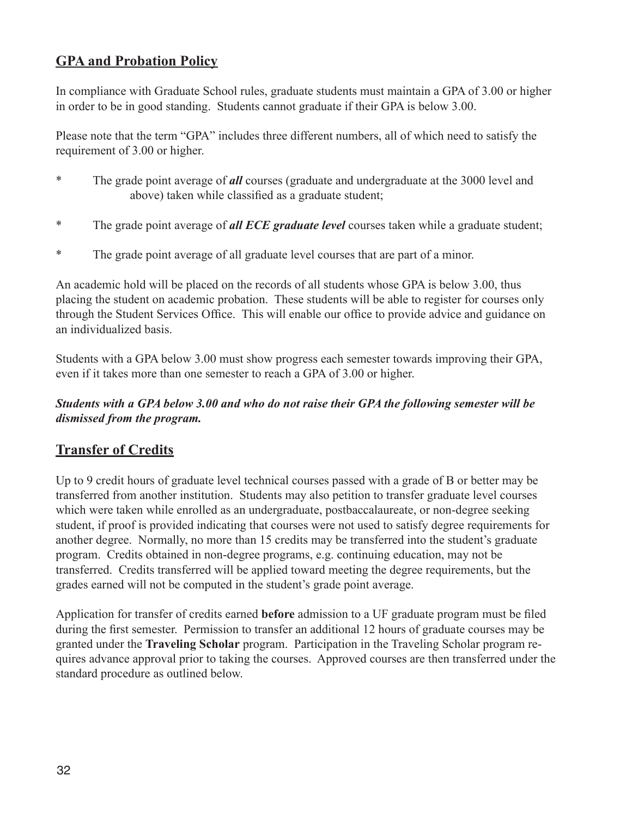## **GPA and Probation Policy**

In compliance with Graduate School rules, graduate students must maintain a GPA of 3.00 or higher in order to be in good standing. Students cannot graduate if their GPA is below 3.00.

Please note that the term "GPA" includes three different numbers, all of which need to satisfy the requirement of 3.00 or higher.

- \* The grade point average of *all* courses (graduate and undergraduate at the 3000 level and above) taken while classified as a graduate student;
- \* The grade point average of *all ECE graduate level* courses taken while a graduate student;
- \* The grade point average of all graduate level courses that are part of a minor.

An academic hold will be placed on the records of all students whose GPA is below 3.00, thus placing the student on academic probation. These students will be able to register for courses only through the Student Services Office. This will enable our office to provide advice and guidance on an individualized basis.

Students with a GPA below 3.00 must show progress each semester towards improving their GPA, even if it takes more than one semester to reach a GPA of 3.00 or higher.

## *Students with a GPA below 3.00 and who do not raise their GPA the following semester will be dismissed from the program.*

## **Transfer of Credits**

Up to 9 credit hours of graduate level technical courses passed with a grade of B or better may be transferred from another institution. Students may also petition to transfer graduate level courses which were taken while enrolled as an undergraduate, postbaccalaureate, or non-degree seeking student, if proof is provided indicating that courses were not used to satisfy degree requirements for another degree. Normally, no more than 15 credits may be transferred into the student's graduate program. Credits obtained in non-degree programs, e.g. continuing education, may not be transferred. Credits transferred will be applied toward meeting the degree requirements, but the grades earned will not be computed in the student's grade point average.

Application for transfer of credits earned **before** admission to a UF graduate program must be filed during the first semester. Permission to transfer an additional 12 hours of graduate courses may be granted under the **Traveling Scholar** program. Participation in the Traveling Scholar program requires advance approval prior to taking the courses. Approved courses are then transferred under the standard procedure as outlined below.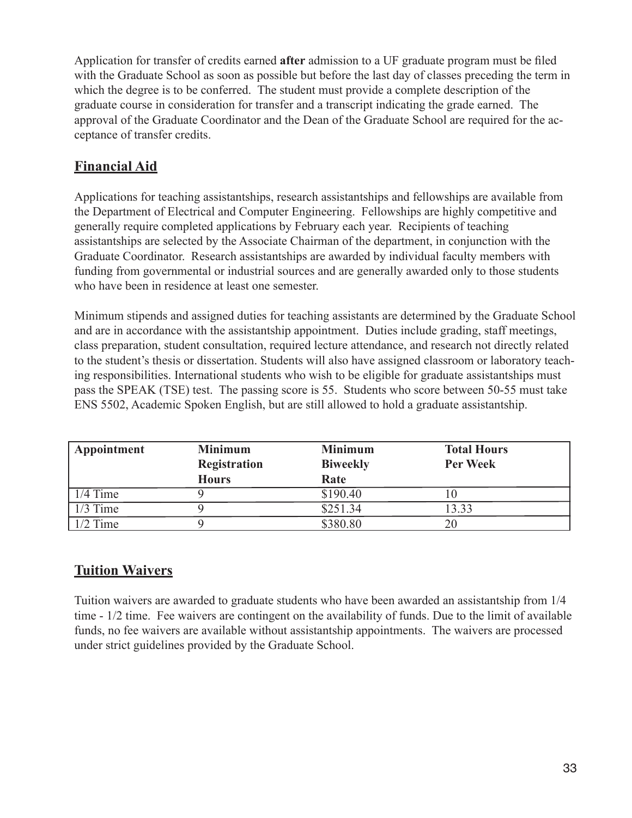Application for transfer of credits earned **after** admission to a UF graduate program must be filed with the Graduate School as soon as possible but before the last day of classes preceding the term in which the degree is to be conferred. The student must provide a complete description of the graduate course in consideration for transfer and a transcript indicating the grade earned. The approval of the Graduate Coordinator and the Dean of the Graduate School are required for the acceptance of transfer credits.

## **Financial Aid**

Applications for teaching assistantships, research assistantships and fellowships are available from the Department of Electrical and Computer Engineering. Fellowships are highly competitive and generally require completed applications by February each year. Recipients of teaching assistantships are selected by the Associate Chairman of the department, in conjunction with the Graduate Coordinator. Research assistantships are awarded by individual faculty members with funding from governmental or industrial sources and are generally awarded only to those students who have been in residence at least one semester.

Minimum stipends and assigned duties for teaching assistants are determined by the Graduate School and are in accordance with the assistantship appointment. Duties include grading, staff meetings, class preparation, student consultation, required lecture attendance, and research not directly related to the student's thesis or dissertation. Students will also have assigned classroom or laboratory teaching responsibilities. International students who wish to be eligible for graduate assistantships must pass the SPEAK (TSE) test. The passing score is 55. Students who score between 50-55 must take ENS 5502, Academic Spoken English, but are still allowed to hold a graduate assistantship.

| Appointment | <b>Minimum</b><br><b>Registration</b><br><b>Hours</b> | <b>Minimum</b><br><b>Biweekly</b><br>Rate | <b>Total Hours</b><br><b>Per Week</b> |
|-------------|-------------------------------------------------------|-------------------------------------------|---------------------------------------|
| $1/4$ Time  |                                                       | \$190.40                                  |                                       |
| $1/3$ Time  |                                                       | \$251.34                                  | 3.33                                  |
| $1/2$ Time  |                                                       | \$380.80                                  |                                       |

## **Tuition Waivers**

Tuition waivers are awarded to graduate students who have been awarded an assistantship from 1/4 time - 1/2 time. Fee waivers are contingent on the availability of funds. Due to the limit of available funds, no fee waivers are available without assistantship appointments. The waivers are processed under strict guidelines provided by the Graduate School.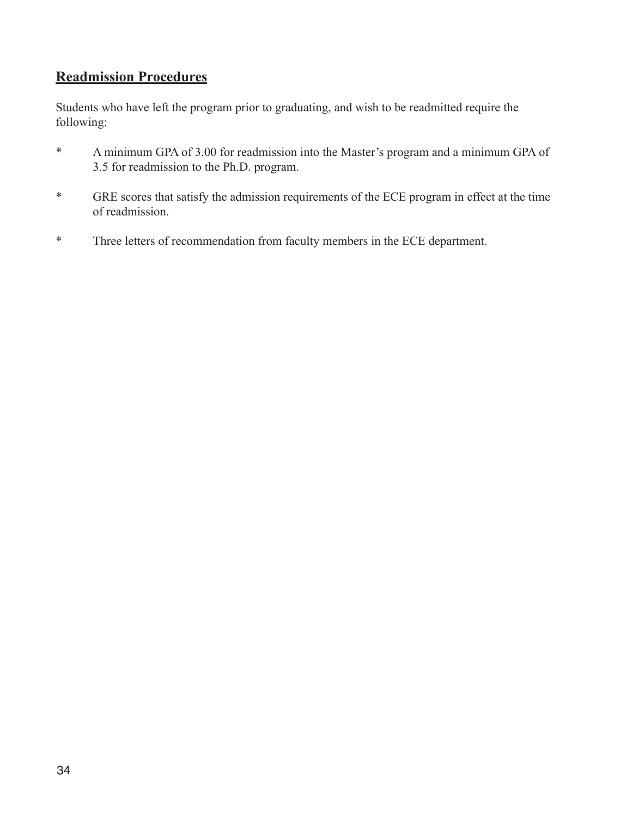## **Readmission Procedures**

Students who have left the program prior to graduating, and wish to be readmitted require the following:

- \* A minimum GPA of 3.00 for readmission into the Master's program and a minimum GPA of 3.5 for readmission to the Ph.D. program.
- \* GRE scores that satisfy the admission requirements of the ECE program in effect at the time of readmission.
- \* Three letters of recommendation from faculty members in the ECE department.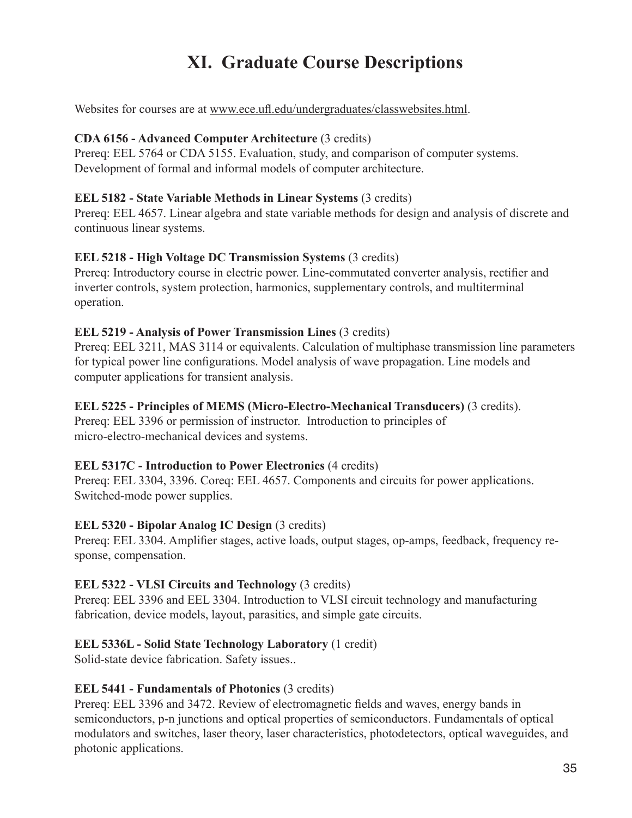## **XI. Graduate Course Descriptions**

Websites for courses are at www.ece.ufl.edu/undergraduates/classwebsites.html.

### **CDA 6156 - Advanced Computer Architecture** (3 credits)

Prereq: EEL 5764 or CDA 5155. Evaluation, study, and comparison of computer systems. Development of formal and informal models of computer architecture.

## **EEL 5182 - State Variable Methods in Linear Systems** (3 credits)

Prereq: EEL 4657. Linear algebra and state variable methods for design and analysis of discrete and continuous linear systems.

## **EEL 5218 - High Voltage DC Transmission Systems** (3 credits)

Prereq: Introductory course in electric power. Line-commutated converter analysis, rectifier and inverter controls, system protection, harmonics, supplementary controls, and multiterminal operation.

## **EEL 5219 - Analysis of Power Transmission Lines** (3 credits)

Prereq: EEL 3211, MAS 3114 or equivalents. Calculation of multiphase transmission line parameters for typical power line configurations. Model analysis of wave propagation. Line models and computer applications for transient analysis.

## **EEL 5225 - Principles of MEMS (Micro-Electro-Mechanical Transducers)** (3 credits).

Prereq: EEL 3396 or permission of instructor. Introduction to principles of micro-electro-mechanical devices and systems.

### **EEL 5317C - Introduction to Power Electronics** (4 credits)

Prereq: EEL 3304, 3396. Coreq: EEL 4657. Components and circuits for power applications. Switched-mode power supplies.

## **EEL 5320 - Bipolar Analog IC Design (3 credits)**

Prereq: EEL 3304. Amplifier stages, active loads, output stages, op-amps, feedback, frequency response, compensation.

## **EEL 5322 - VLSI Circuits and Technology** (3 credits)

Prereq: EEL 3396 and EEL 3304. Introduction to VLSI circuit technology and manufacturing fabrication, device models, layout, parasitics, and simple gate circuits.

## **EEL 5336L - Solid State Technology Laboratory** (1 credit)

Solid-state device fabrication. Safety issues..

### **EEL 5441 - Fundamentals of Photonics** (3 credits)

Prereq: EEL 3396 and 3472. Review of electromagnetic fields and waves, energy bands in semiconductors, p-n junctions and optical properties of semiconductors. Fundamentals of optical modulators and switches, laser theory, laser characteristics, photodetectors, optical waveguides, and photonic applications.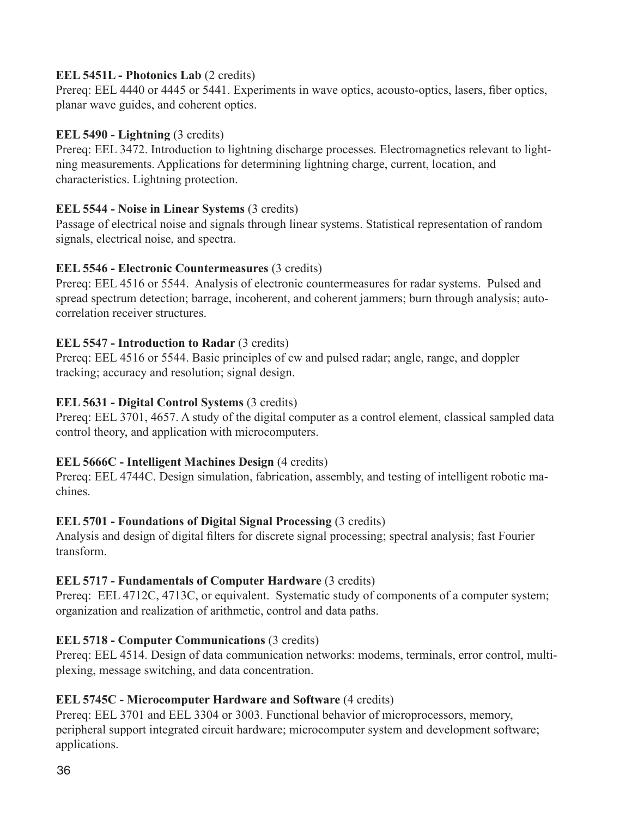## **EEL 5451L - Photonics Lab** (2 credits)

Prereq: EEL 4440 or 4445 or 5441. Experiments in wave optics, acousto-optics, lasers, fiber optics, planar wave guides, and coherent optics.

## **EEL 5490 - Lightning (3 credits)**

Prereq: EEL 3472. Introduction to lightning discharge processes. Electromagnetics relevant to lightning measurements. Applications for determining lightning charge, current, location, and characteristics. Lightning protection.

## **EEL 5544 - Noise in Linear Systems** (3 credits)

Passage of electrical noise and signals through linear systems. Statistical representation of random signals, electrical noise, and spectra.

## **EEL 5546 - Electronic Countermeasures** (3 credits)

Prereq: EEL 4516 or 5544. Analysis of electronic countermeasures for radar systems. Pulsed and spread spectrum detection; barrage, incoherent, and coherent jammers; burn through analysis; autocorrelation receiver structures.

## **EEL 5547 - Introduction to Radar (3 credits)**

Prereq: EEL 4516 or 5544. Basic principles of cw and pulsed radar; angle, range, and doppler tracking; accuracy and resolution; signal design.

## **EEL 5631 - Digital Control Systems** (3 credits)

Prereq: EEL 3701, 4657. A study of the digital computer as a control element, classical sampled data control theory, and application with microcomputers.

## **EEL 5666C - Intelligent Machines Design** (4 credits)

Prereq: EEL 4744C. Design simulation, fabrication, assembly, and testing of intelligent robotic machines.

## **EEL 5701 - Foundations of Digital Signal Processing** (3 credits)

Analysis and design of digital filters for discrete signal processing; spectral analysis; fast Fourier transform.

## **EEL 5717 - Fundamentals of Computer Hardware** (3 credits)

Prereq: EEL 4712C, 4713C, or equivalent. Systematic study of components of a computer system; organization and realization of arithmetic, control and data paths.

## **EEL 5718 - Computer Communications** (3 credits)

Prereq: EEL 4514. Design of data communication networks: modems, terminals, error control, multiplexing, message switching, and data concentration.

## **EEL 5745C - Microcomputer Hardware and Software** (4 credits)

Prereq: EEL 3701 and EEL 3304 or 3003. Functional behavior of microprocessors, memory, peripheral support integrated circuit hardware; microcomputer system and development software; applications.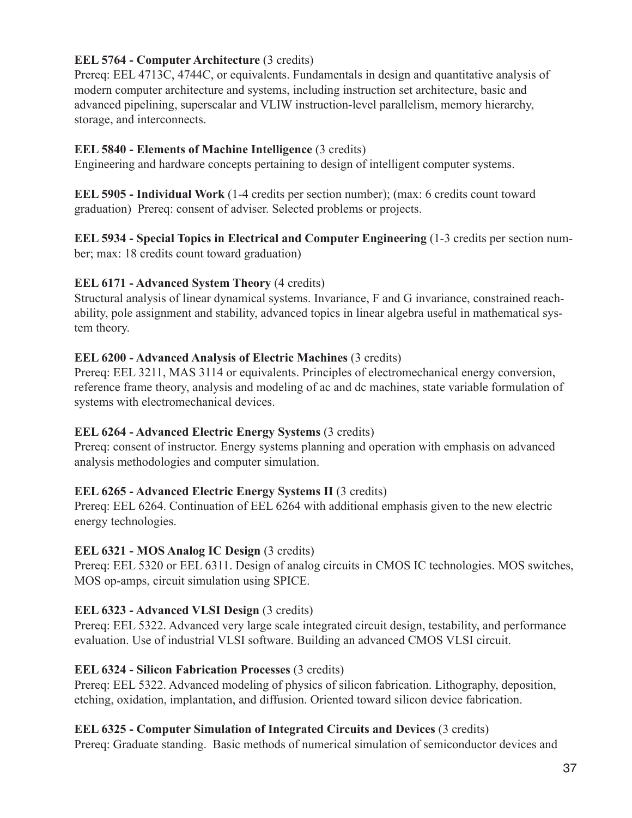## **EEL 5764 - Computer Architecture** (3 credits)

Prereq: EEL 4713C, 4744C, or equivalents. Fundamentals in design and quantitative analysis of modern computer architecture and systems, including instruction set architecture, basic and advanced pipelining, superscalar and VLIW instruction-level parallelism, memory hierarchy, storage, and interconnects.

## **EEL 5840 - Elements of Machine Intelligence** (3 credits)

Engineering and hardware concepts pertaining to design of intelligent computer systems.

**EEL 5905 - Individual Work** (1-4 credits per section number); (max: 6 credits count toward graduation) Prereq: consent of adviser. Selected problems or projects.

**EEL 5934 - Special Topics in Electrical and Computer Engineering** (1-3 credits per section number; max: 18 credits count toward graduation)

## **EEL 6171 - Advanced System Theory** (4 credits)

Structural analysis of linear dynamical systems. Invariance, F and G invariance, constrained reachability, pole assignment and stability, advanced topics in linear algebra useful in mathematical system theory.

## **EEL 6200 - Advanced Analysis of Electric Machines** (3 credits)

Prereq: EEL 3211, MAS 3114 or equivalents. Principles of electromechanical energy conversion, reference frame theory, analysis and modeling of ac and dc machines, state variable formulation of systems with electromechanical devices.

## **EEL 6264 - Advanced Electric Energy Systems** (3 credits)

Prereq: consent of instructor. Energy systems planning and operation with emphasis on advanced analysis methodologies and computer simulation.

## **EEL 6265 - Advanced Electric Energy Systems II** (3 credits)

Prereq: EEL 6264. Continuation of EEL 6264 with additional emphasis given to the new electric energy technologies.

## **EEL 6321 - MOS Analog IC Design** (3 credits)

Prereq: EEL 5320 or EEL 6311. Design of analog circuits in CMOS IC technologies. MOS switches, MOS op-amps, circuit simulation using SPICE.

## **EEL 6323 - Advanced VLSI Design** (3 credits)

Prereq: EEL 5322. Advanced very large scale integrated circuit design, testability, and performance evaluation. Use of industrial VLSI software. Building an advanced CMOS VLSI circuit.

## **EEL 6324 - Silicon Fabrication Processes** (3 credits)

Prereq: EEL 5322. Advanced modeling of physics of silicon fabrication. Lithography, deposition, etching, oxidation, implantation, and diffusion. Oriented toward silicon device fabrication.

### **EEL 6325 - Computer Simulation of Integrated Circuits and Devices** (3 credits)

Prereq: Graduate standing. Basic methods of numerical simulation of semiconductor devices and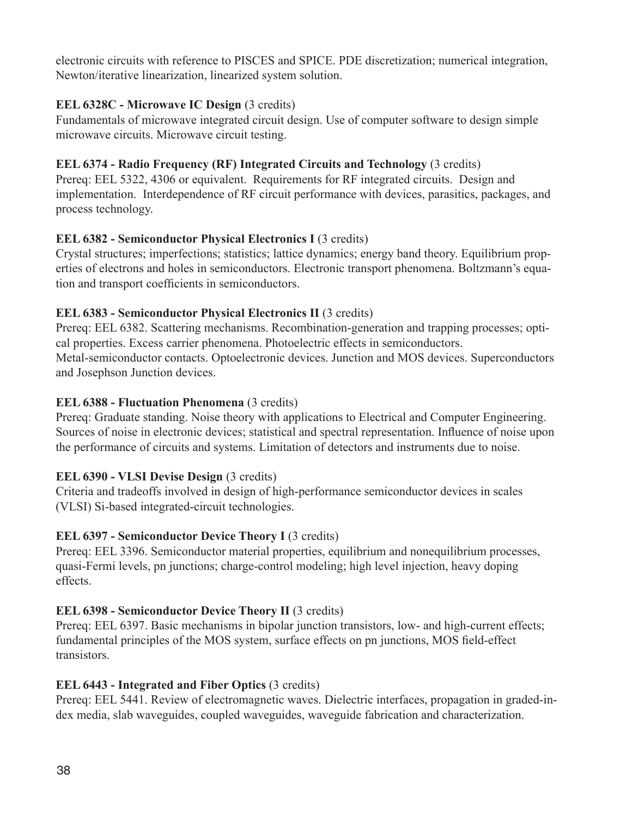electronic circuits with reference to PISCES and SPICE. PDE discretization; numerical integration, Newton/iterative linearization, linearized system solution.

## **EEL 6328C - Microwave IC Design** (3 credits)

Fundamentals of microwave integrated circuit design. Use of computer software to design simple microwave circuits. Microwave circuit testing.

## **EEL 6374 - Radio Frequency (RF) Integrated Circuits and Technology** (3 credits)

Prereq: EEL 5322, 4306 or equivalent. Requirements for RF integrated circuits. Design and implementation. Interdependence of RF circuit performance with devices, parasitics, packages, and process technology.

## **EEL 6382 - Semiconductor Physical Electronics I (3 credits)**

Crystal structures; imperfections; statistics; lattice dynamics; energy band theory. Equilibrium properties of electrons and holes in semiconductors. Electronic transport phenomena. Boltzmann's equation and transport coefficients in semiconductors.

## **EEL 6383 - Semiconductor Physical Electronics II (3 credits)**

Prereq: EEL 6382. Scattering mechanisms. Recombination-generation and trapping processes; optical properties. Excess carrier phenomena. Photoelectric effects in semiconductors. Metal-semiconductor contacts. Optoelectronic devices. Junction and MOS devices. Superconductors and Josephson Junction devices.

## **EEL 6388 - Fluctuation Phenomena** (3 credits)

Prereq: Graduate standing. Noise theory with applications to Electrical and Computer Engineering. Sources of noise in electronic devices; statistical and spectral representation. Influence of noise upon the performance of circuits and systems. Limitation of detectors and instruments due to noise.

## **EEL 6390 - VLSI Devise Design** (3 credits)

Criteria and tradeoffs involved in design of high-performance semiconductor devices in scales (VLSI) Si-based integrated-circuit technologies.

## **EEL 6397 - Semiconductor Device Theory I** (3 credits)

Prereq: EEL 3396. Semiconductor material properties, equilibrium and nonequilibrium processes, quasi-Fermi levels, pn junctions; charge-control modeling; high level injection, heavy doping effects.

## **EEL 6398 - Semiconductor Device Theory II** (3 credits)

Prereq: EEL 6397. Basic mechanisms in bipolar junction transistors, low- and high-current effects; fundamental principles of the MOS system, surface effects on pn junctions, MOS field-effect transistors.

## **EEL 6443 - Integrated and Fiber Optics** (3 credits)

Prereq: EEL 5441. Review of electromagnetic waves. Dielectric interfaces, propagation in graded-index media, slab waveguides, coupled waveguides, waveguide fabrication and characterization.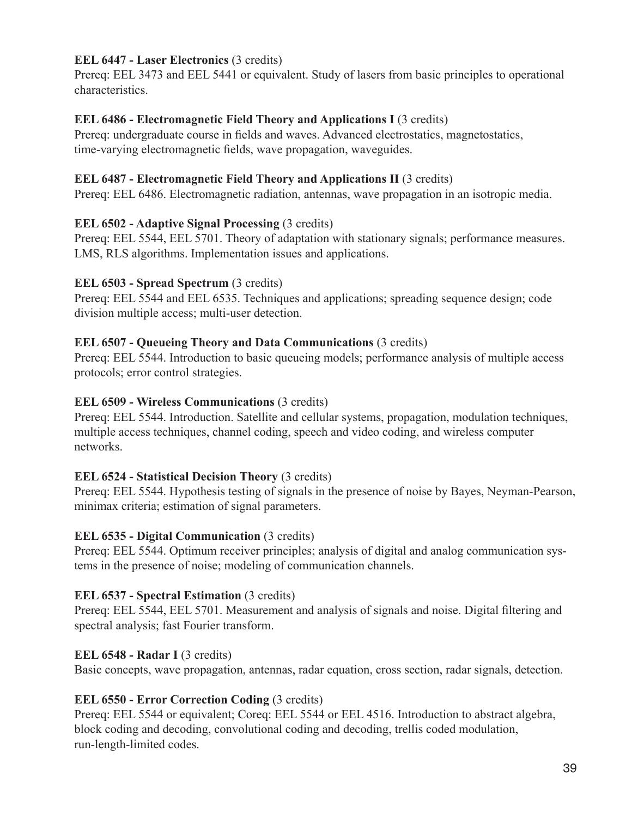## **EEL 6447 - Laser Electronics** (3 credits)

Prereq: EEL 3473 and EEL 5441 or equivalent. Study of lasers from basic principles to operational characteristics.

## **EEL 6486 - Electromagnetic Field Theory and Applications I (3 credits)**

Prereq: undergraduate course in fields and waves. Advanced electrostatics, magnetostatics, time-varying electromagnetic fields, wave propagation, waveguides.

## **EEL 6487 - Electromagnetic Field Theory and Applications II (3 credits)**

Prereq: EEL 6486. Electromagnetic radiation, antennas, wave propagation in an isotropic media.

### **EEL 6502 - Adaptive Signal Processing** (3 credits)

Prereq: EEL 5544, EEL 5701. Theory of adaptation with stationary signals; performance measures. LMS, RLS algorithms. Implementation issues and applications.

### **EEL 6503 - Spread Spectrum (3 credits)**

Prereq: EEL 5544 and EEL 6535. Techniques and applications; spreading sequence design; code division multiple access; multi-user detection.

### **EEL 6507 - Queueing Theory and Data Communications** (3 credits)

Prereq: EEL 5544. Introduction to basic queueing models; performance analysis of multiple access protocols; error control strategies.

### **EEL 6509 - Wireless Communications** (3 credits)

Prereq: EEL 5544. Introduction. Satellite and cellular systems, propagation, modulation techniques, multiple access techniques, channel coding, speech and video coding, and wireless computer networks.

### **EEL 6524 - Statistical Decision Theory** (3 credits)

Prereq: EEL 5544. Hypothesis testing of signals in the presence of noise by Bayes, Neyman-Pearson, minimax criteria; estimation of signal parameters.

### **EEL 6535 - Digital Communication** (3 credits)

Prereq: EEL 5544. Optimum receiver principles; analysis of digital and analog communication systems in the presence of noise; modeling of communication channels.

### **EEL 6537 - Spectral Estimation** (3 credits)

Prereq: EEL 5544, EEL 5701. Measurement and analysis of signals and noise. Digital filtering and spectral analysis; fast Fourier transform.

### **EEL 6548 - Radar I** (3 credits)

Basic concepts, wave propagation, antennas, radar equation, cross section, radar signals, detection.

### **EEL 6550 - Error Correction Coding** (3 credits)

Prereq: EEL 5544 or equivalent; Coreq: EEL 5544 or EEL 4516. Introduction to abstract algebra, block coding and decoding, convolutional coding and decoding, trellis coded modulation, run-length-limited codes.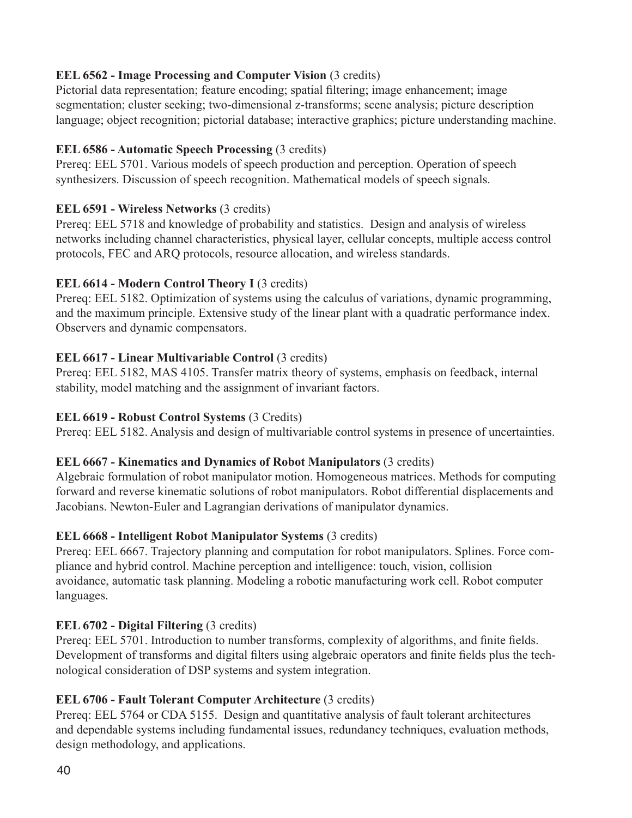## **EEL 6562 - Image Processing and Computer Vision (3 credits)**

Pictorial data representation; feature encoding; spatial filtering; image enhancement; image segmentation; cluster seeking; two-dimensional z-transforms; scene analysis; picture description language; object recognition; pictorial database; interactive graphics; picture understanding machine.

## **EEL 6586 - Automatic Speech Processing** (3 credits)

Prereq: EEL 5701. Various models of speech production and perception. Operation of speech synthesizers. Discussion of speech recognition. Mathematical models of speech signals.

## **EEL 6591 - Wireless Networks** (3 credits)

Prereq: EEL 5718 and knowledge of probability and statistics. Design and analysis of wireless networks including channel characteristics, physical layer, cellular concepts, multiple access control protocols, FEC and ARQ protocols, resource allocation, and wireless standards.

## **EEL 6614 - Modern Control Theory I** (3 credits)

Prereq: EEL 5182. Optimization of systems using the calculus of variations, dynamic programming, and the maximum principle. Extensive study of the linear plant with a quadratic performance index. Observers and dynamic compensators.

## **EEL 6617 - Linear Multivariable Control** (3 credits)

Prereq: EEL 5182, MAS 4105. Transfer matrix theory of systems, emphasis on feedback, internal stability, model matching and the assignment of invariant factors.

## **EEL 6619 - Robust Control Systems** (3 Credits)

Prereq: EEL 5182. Analysis and design of multivariable control systems in presence of uncertainties.

## **EEL 6667 - Kinematics and Dynamics of Robot Manipulators** (3 credits)

Algebraic formulation of robot manipulator motion. Homogeneous matrices. Methods for computing forward and reverse kinematic solutions of robot manipulators. Robot differential displacements and Jacobians. Newton-Euler and Lagrangian derivations of manipulator dynamics.

## **EEL 6668 - Intelligent Robot Manipulator Systems** (3 credits)

Prereq: EEL 6667. Trajectory planning and computation for robot manipulators. Splines. Force compliance and hybrid control. Machine perception and intelligence: touch, vision, collision avoidance, automatic task planning. Modeling a robotic manufacturing work cell. Robot computer languages.

## **EEL 6702 - Digital Filtering** (3 credits)

Prereq: EEL 5701. Introduction to number transforms, complexity of algorithms, and finite fields. Development of transforms and digital filters using algebraic operators and finite fields plus the technological consideration of DSP systems and system integration.

## **EEL 6706 - Fault Tolerant Computer Architecture (3 credits)**

Prereq: EEL 5764 or CDA 5155. Design and quantitative analysis of fault tolerant architectures and dependable systems including fundamental issues, redundancy techniques, evaluation methods, design methodology, and applications.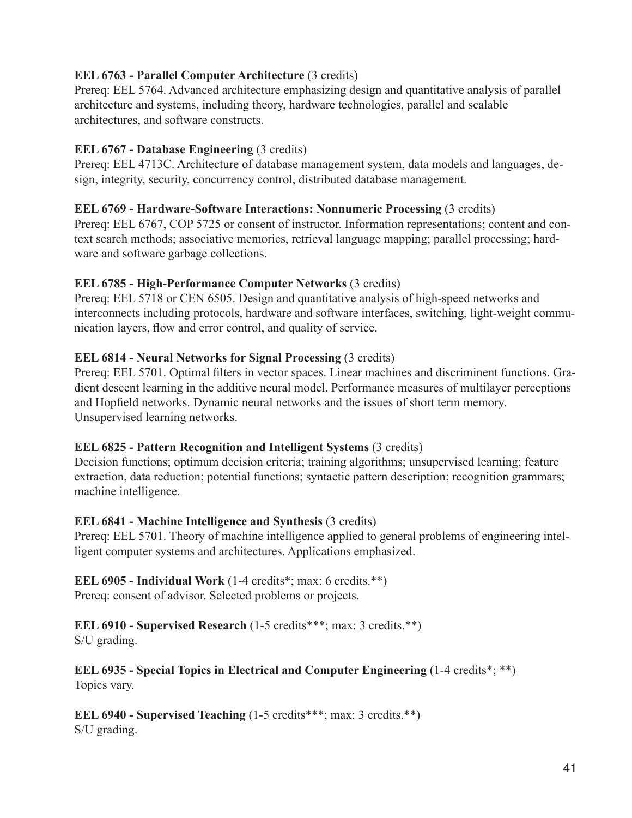## **EEL 6763 - Parallel Computer Architecture** (3 credits)

Prereq: EEL 5764. Advanced architecture emphasizing design and quantitative analysis of parallel architecture and systems, including theory, hardware technologies, parallel and scalable architectures, and software constructs.

## **EEL 6767 - Database Engineering** (3 credits)

Prereq: EEL 4713C. Architecture of database management system, data models and languages, design, integrity, security, concurrency control, distributed database management.

## **EEL 6769 - Hardware-Software Interactions: Nonnumeric Processing** (3 credits)

Prereq: EEL 6767, COP 5725 or consent of instructor. Information representations; content and context search methods; associative memories, retrieval language mapping; parallel processing; hardware and software garbage collections.

## **EEL 6785 - High-Performance Computer Networks** (3 credits)

Prereq: EEL 5718 or CEN 6505. Design and quantitative analysis of high-speed networks and interconnects including protocols, hardware and software interfaces, switching, light-weight communication layers, flow and error control, and quality of service.

## **EEL 6814 - Neural Networks for Signal Processing** (3 credits)

Prereq: EEL 5701. Optimal filters in vector spaces. Linear machines and discriminent functions. Gradient descent learning in the additive neural model. Performance measures of multilayer perceptions and Hopfield networks. Dynamic neural networks and the issues of short term memory. Unsupervised learning networks.

## **EEL 6825 - Pattern Recognition and Intelligent Systems** (3 credits)

Decision functions; optimum decision criteria; training algorithms; unsupervised learning; feature extraction, data reduction; potential functions; syntactic pattern description; recognition grammars; machine intelligence.

## **EEL 6841 - Machine Intelligence and Synthesis** (3 credits)

Prereq: EEL 5701. Theory of machine intelligence applied to general problems of engineering intelligent computer systems and architectures. Applications emphasized.

#### **EEL 6905 - Individual Work** (1-4 credits\*; max: 6 credits.\*\*) Prereq: consent of advisor. Selected problems or projects.

## **EEL 6910 - Supervised Research** (1-5 credits\*\*\*; max: 3 credits.\*\*)

S/U grading.

**EEL 6935 - Special Topics in Electrical and Computer Engineering** (1-4 credits\*; \*\*) Topics vary.

**EEL 6940 - Supervised Teaching** (1-5 credits\*\*\*; max: 3 credits.\*\*) S/U grading.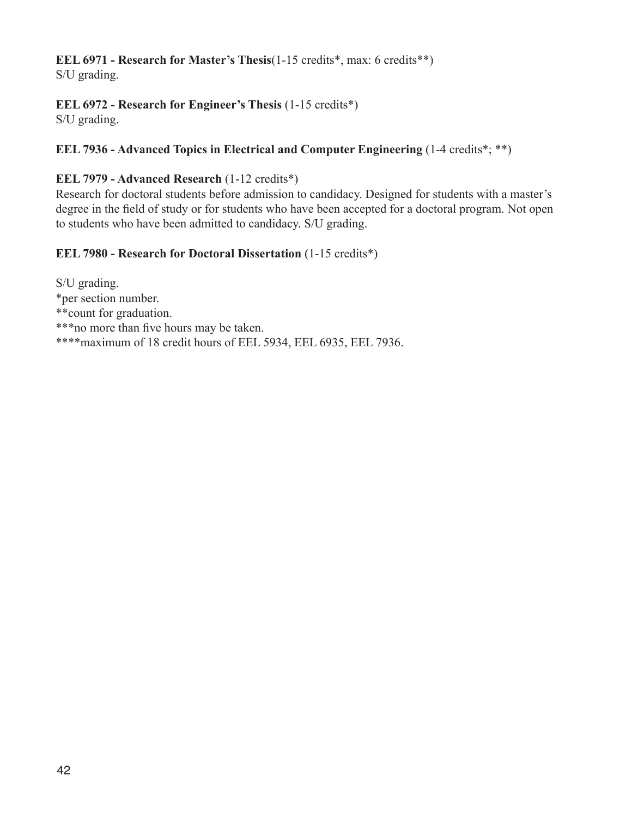## **EEL 6971 - Research for Master's Thesis**(1-15 credits\*, max: 6 credits\*\*)

S/U grading.

## **EEL 6972 - Research for Engineer's Thesis** (1-15 credits\*)

S/U grading.

## **EEL 7936 - Advanced Topics in Electrical and Computer Engineering** (1-4 credits\*; \*\*)

## **EEL 7979 - Advanced Research** (1-12 credits\*)

Research for doctoral students before admission to candidacy. Designed for students with a master's degree in the field of study or for students who have been accepted for a doctoral program. Not open to students who have been admitted to candidacy. S/U grading.

## **EEL 7980 - Research for Doctoral Dissertation** (1-15 credits\*)

S/U grading. \*per section number. \*\*count for graduation. \*\*\*no more than five hours may be taken. \*\*\*\*maximum of 18 credit hours of EEL 5934, EEL 6935, EEL 7936.